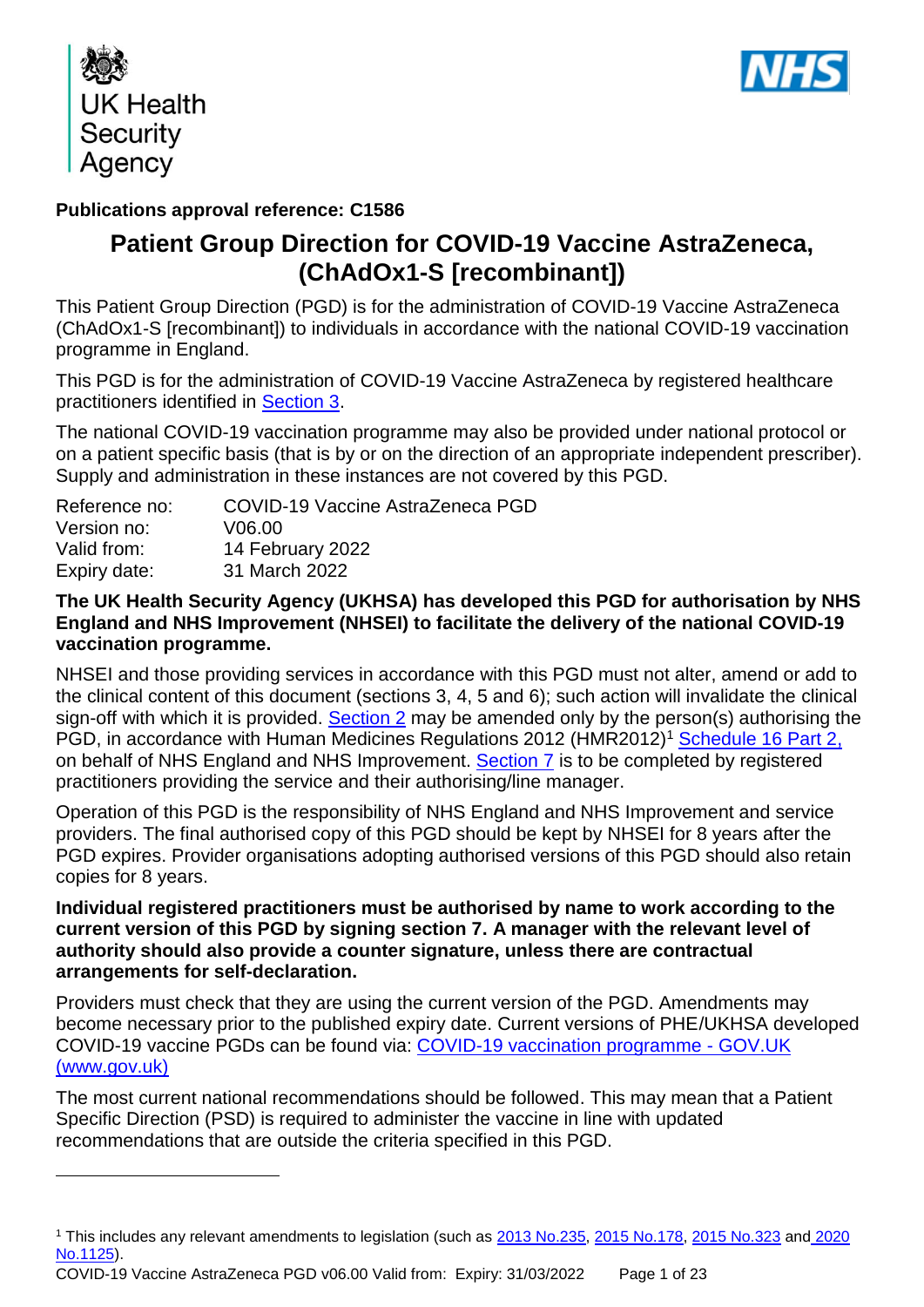

1



## **Publications approval reference: C1586**

## **Patient Group Direction for COVID-19 Vaccine AstraZeneca, (ChAdOx1-S [recombinant])**

This Patient Group Direction (PGD) is for the administration of COVID-19 Vaccine AstraZeneca (ChAdOx1-S [recombinant]) to individuals in accordance with the national COVID-19 vaccination programme in England.

This PGD is for the administration of COVID-19 Vaccine AstraZeneca by registered healthcare practitioners identified in [Section 3.](#page-5-0)

The national COVID-19 vaccination programme may also be provided under national protocol or on a patient specific basis (that is by or on the direction of an appropriate independent prescriber). Supply and administration in these instances are not covered by this PGD.

| Reference no: | COVID-19 Vaccine AstraZeneca PGD |
|---------------|----------------------------------|
| Version no:   | V06.00                           |
| Valid from:   | 14 February 2022                 |
| Expiry date:  | 31 March 2022                    |

#### **The UK Health Security Agency (UKHSA) has developed this PGD for authorisation by NHS England and NHS Improvement (NHSEI) to facilitate the delivery of the national COVID-19 vaccination programme.**

NHSEI and those providing services in accordance with this PGD must not alter, amend or add to the clinical content of this document (sections 3, 4, 5 and 6); such action will invalidate the clinical sign-off with which it is provided. Section 2 may be amended only by the person(s) authorising the PGD, in accordance with Human Medicines Regulations 2012 (HMR2012)<sup>1</sup> [Schedule 16 Part 2,](http://www.legislation.gov.uk/uksi/2012/1916/schedule/16/part/2/made) on behalf of NHS England and NHS Improvement. [Section 7](#page-22-0) is to be completed by registered practitioners providing the service and their authorising/line manager.

Operation of this PGD is the responsibility of NHS England and NHS Improvement and service providers. The final authorised copy of this PGD should be kept by NHSEI for 8 years after the PGD expires. Provider organisations adopting authorised versions of this PGD should also retain copies for 8 years.

#### **Individual registered practitioners must be authorised by name to work according to the current version of this PGD by signing section 7. A manager with the relevant level of authority should also provide a counter signature, unless there are contractual arrangements for self-declaration.**

Providers must check that they are using the current version of the PGD. Amendments may become necessary prior to the published expiry date. Current versions of PHE/UKHSA developed COVID-19 vaccine PGDs can be found via: [COVID-19 vaccination programme -](https://www.gov.uk/government/collections/covid-19-vaccination-programme) GOV.UK [\(www.gov.uk\)](https://www.gov.uk/government/collections/covid-19-vaccination-programme)

The most current national recommendations should be followed. This may mean that a Patient Specific Direction (PSD) is required to administer the vaccine in line with updated recommendations that are outside the criteria specified in this PGD.

<sup>&</sup>lt;sup>1</sup> This includes any relevant amendments to legislation (such as [2013 No.235,](http://www.legislation.gov.uk/uksi/2013/235/contents/made) [2015 No.178,](http://www.legislation.gov.uk/nisr/2015/178/contents/made) [2015 No.323](http://www.legislation.gov.uk/uksi/2015/323/contents/made) and 2020 [No.1125\)](https://www.legislation.gov.uk/uksi/2020/1125/contents/made).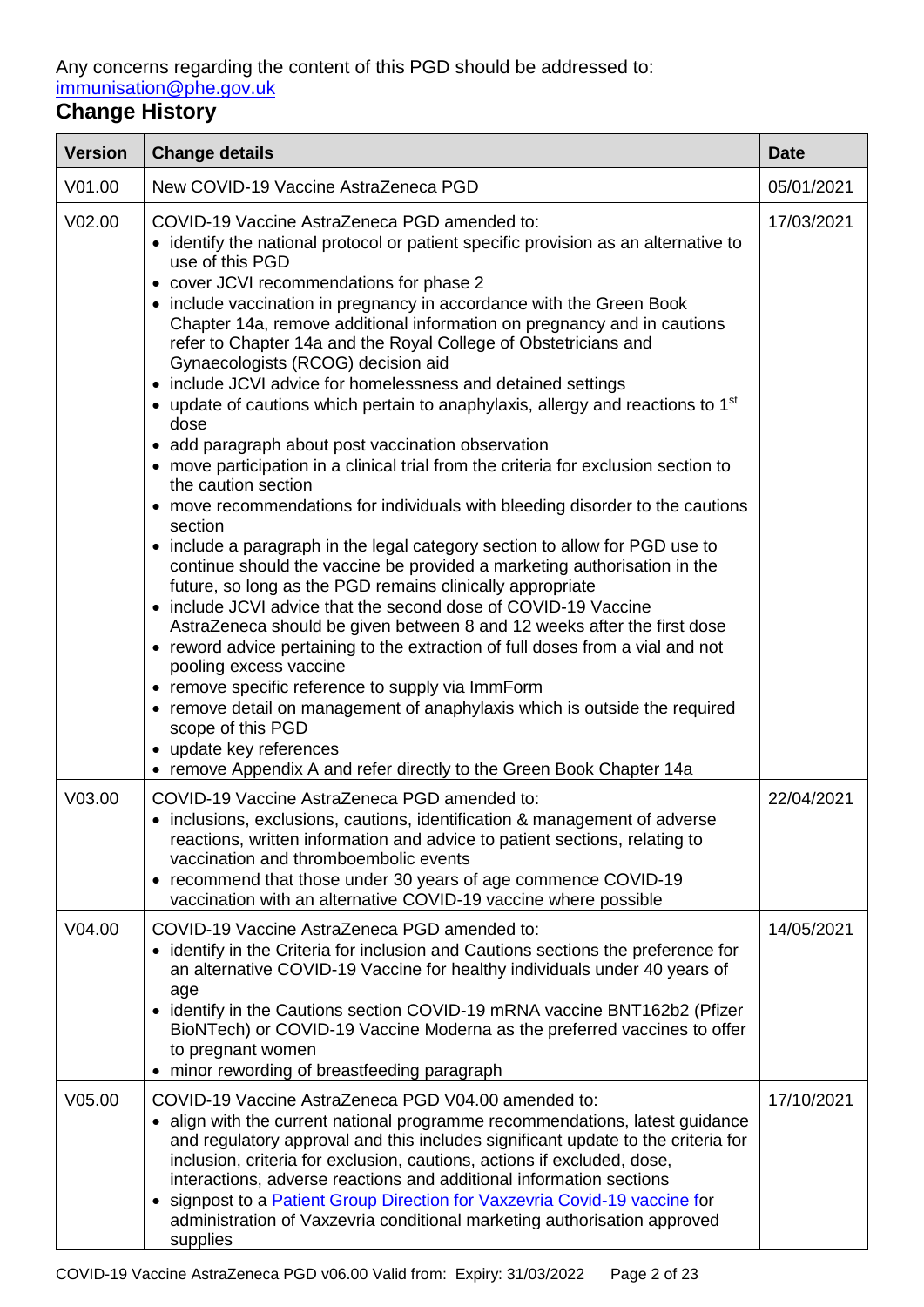Any concerns regarding the content of this PGD should be addressed to: [immunisation@phe.gov.uk](mailto:immunisation@phe.gov.uk)

# **Change History**

| <b>Version</b>     | <b>Change details</b>                                                                                                                                                                                                                                                                                                                                                                                                                                                                                                                                                                                                                                                                                                                                                                                                                                                                                                                                                                                                                                                                                                                                                                                                                                                                                                                                                                                                                                                                                                                                                                                                                             | <b>Date</b> |
|--------------------|---------------------------------------------------------------------------------------------------------------------------------------------------------------------------------------------------------------------------------------------------------------------------------------------------------------------------------------------------------------------------------------------------------------------------------------------------------------------------------------------------------------------------------------------------------------------------------------------------------------------------------------------------------------------------------------------------------------------------------------------------------------------------------------------------------------------------------------------------------------------------------------------------------------------------------------------------------------------------------------------------------------------------------------------------------------------------------------------------------------------------------------------------------------------------------------------------------------------------------------------------------------------------------------------------------------------------------------------------------------------------------------------------------------------------------------------------------------------------------------------------------------------------------------------------------------------------------------------------------------------------------------------------|-------------|
| V <sub>01.00</sub> | New COVID-19 Vaccine AstraZeneca PGD                                                                                                                                                                                                                                                                                                                                                                                                                                                                                                                                                                                                                                                                                                                                                                                                                                                                                                                                                                                                                                                                                                                                                                                                                                                                                                                                                                                                                                                                                                                                                                                                              | 05/01/2021  |
| V <sub>02.00</sub> | COVID-19 Vaccine AstraZeneca PGD amended to:<br>• identify the national protocol or patient specific provision as an alternative to<br>use of this PGD<br>• cover JCVI recommendations for phase 2<br>• include vaccination in pregnancy in accordance with the Green Book<br>Chapter 14a, remove additional information on pregnancy and in cautions<br>refer to Chapter 14a and the Royal College of Obstetricians and<br>Gynaecologists (RCOG) decision aid<br>• include JCVI advice for homelessness and detained settings<br>• update of cautions which pertain to anaphylaxis, allergy and reactions to 1 <sup>st</sup><br>dose<br>• add paragraph about post vaccination observation<br>• move participation in a clinical trial from the criteria for exclusion section to<br>the caution section<br>• move recommendations for individuals with bleeding disorder to the cautions<br>section<br>• include a paragraph in the legal category section to allow for PGD use to<br>continue should the vaccine be provided a marketing authorisation in the<br>future, so long as the PGD remains clinically appropriate<br>• include JCVI advice that the second dose of COVID-19 Vaccine<br>AstraZeneca should be given between 8 and 12 weeks after the first dose<br>• reword advice pertaining to the extraction of full doses from a vial and not<br>pooling excess vaccine<br>• remove specific reference to supply via ImmForm<br>• remove detail on management of anaphylaxis which is outside the required<br>scope of this PGD<br>• update key references<br>• remove Appendix A and refer directly to the Green Book Chapter 14a | 17/03/2021  |
| V <sub>03.00</sub> | COVID-19 Vaccine AstraZeneca PGD amended to:<br>• inclusions, exclusions, cautions, identification & management of adverse<br>reactions, written information and advice to patient sections, relating to<br>vaccination and thromboembolic events<br>• recommend that those under 30 years of age commence COVID-19<br>vaccination with an alternative COVID-19 vaccine where possible                                                                                                                                                                                                                                                                                                                                                                                                                                                                                                                                                                                                                                                                                                                                                                                                                                                                                                                                                                                                                                                                                                                                                                                                                                                            | 22/04/2021  |
| V04.00             | COVID-19 Vaccine AstraZeneca PGD amended to:<br>• identify in the Criteria for inclusion and Cautions sections the preference for<br>an alternative COVID-19 Vaccine for healthy individuals under 40 years of<br>age<br>• identify in the Cautions section COVID-19 mRNA vaccine BNT162b2 (Pfizer<br>BioNTech) or COVID-19 Vaccine Moderna as the preferred vaccines to offer<br>to pregnant women<br>minor rewording of breastfeeding paragraph                                                                                                                                                                                                                                                                                                                                                                                                                                                                                                                                                                                                                                                                                                                                                                                                                                                                                                                                                                                                                                                                                                                                                                                                 | 14/05/2021  |
| V <sub>05.00</sub> | COVID-19 Vaccine AstraZeneca PGD V04.00 amended to:<br>• align with the current national programme recommendations, latest guidance<br>and regulatory approval and this includes significant update to the criteria for<br>inclusion, criteria for exclusion, cautions, actions if excluded, dose,<br>interactions, adverse reactions and additional information sections<br>signpost to a <b>Patient Group Direction for Vaxzevria Covid-19 vaccine for</b><br>administration of Vaxzevria conditional marketing authorisation approved<br>supplies                                                                                                                                                                                                                                                                                                                                                                                                                                                                                                                                                                                                                                                                                                                                                                                                                                                                                                                                                                                                                                                                                              | 17/10/2021  |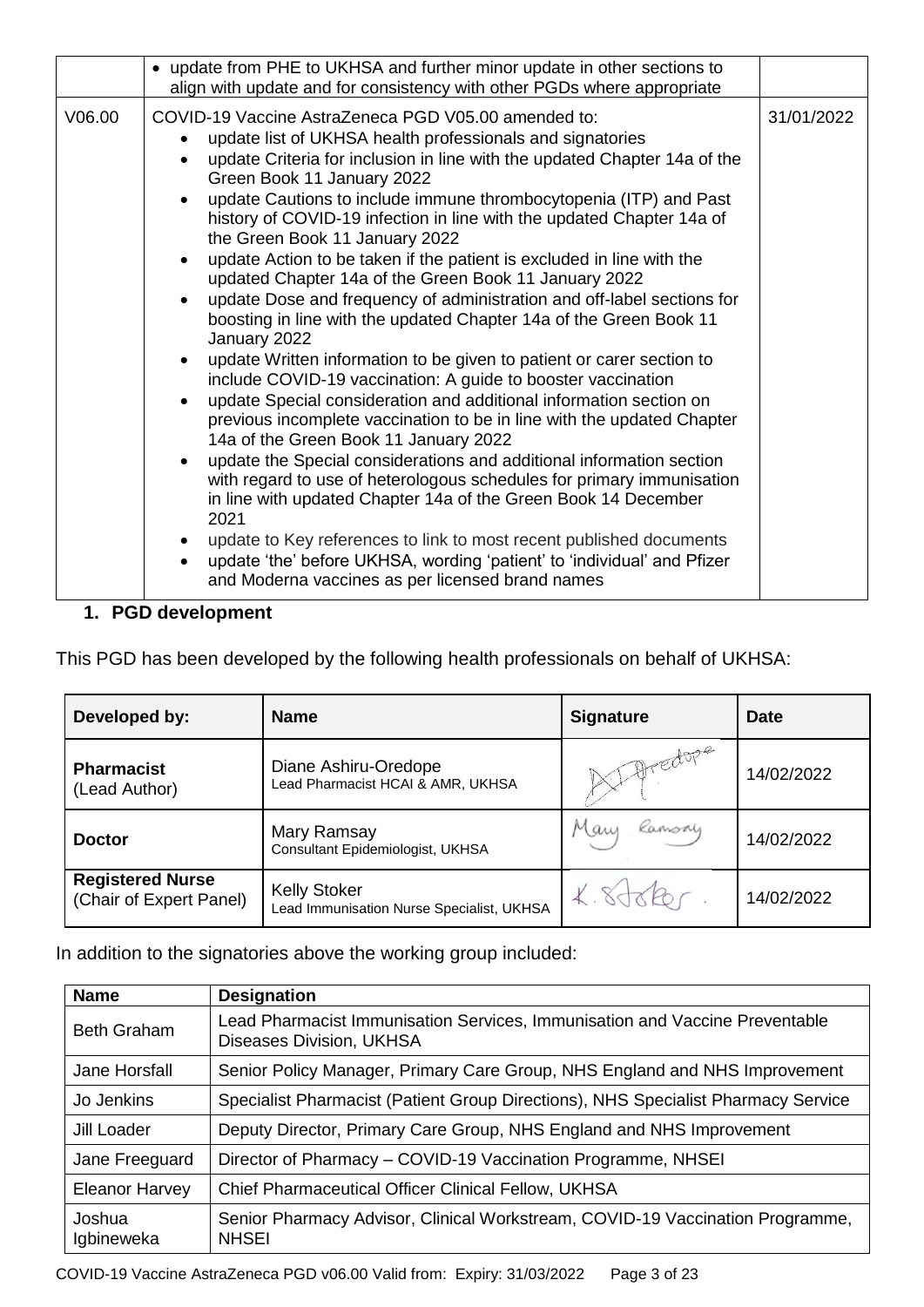|        | • update from PHE to UKHSA and further minor update in other sections to<br>align with update and for consistency with other PGDs where appropriate                                                                                                                                                                                                                                                                                                                                                                                                                                                                                                                                                                                                                                                                                                                                                                                                                                                                                                                                                                                                                                                                                                                                                                                                                                                                                                                                           |            |
|--------|-----------------------------------------------------------------------------------------------------------------------------------------------------------------------------------------------------------------------------------------------------------------------------------------------------------------------------------------------------------------------------------------------------------------------------------------------------------------------------------------------------------------------------------------------------------------------------------------------------------------------------------------------------------------------------------------------------------------------------------------------------------------------------------------------------------------------------------------------------------------------------------------------------------------------------------------------------------------------------------------------------------------------------------------------------------------------------------------------------------------------------------------------------------------------------------------------------------------------------------------------------------------------------------------------------------------------------------------------------------------------------------------------------------------------------------------------------------------------------------------------|------------|
| V06.00 | COVID-19 Vaccine AstraZeneca PGD V05.00 amended to:<br>update list of UKHSA health professionals and signatories<br>update Criteria for inclusion in line with the updated Chapter 14a of the<br>Green Book 11 January 2022<br>update Cautions to include immune thrombocytopenia (ITP) and Past<br>history of COVID-19 infection in line with the updated Chapter 14a of<br>the Green Book 11 January 2022<br>update Action to be taken if the patient is excluded in line with the<br>updated Chapter 14a of the Green Book 11 January 2022<br>update Dose and frequency of administration and off-label sections for<br>boosting in line with the updated Chapter 14a of the Green Book 11<br>January 2022<br>update Written information to be given to patient or carer section to<br>$\bullet$<br>include COVID-19 vaccination: A guide to booster vaccination<br>update Special consideration and additional information section on<br>previous incomplete vaccination to be in line with the updated Chapter<br>14a of the Green Book 11 January 2022<br>update the Special considerations and additional information section<br>with regard to use of heterologous schedules for primary immunisation<br>in line with updated Chapter 14a of the Green Book 14 December<br>2021<br>update to Key references to link to most recent published documents<br>update 'the' before UKHSA, wording 'patient' to 'individual' and Pfizer<br>and Moderna vaccines as per licensed brand names | 31/01/2022 |

### **1. PGD development**

This PGD has been developed by the following health professionals on behalf of UKHSA:

| Developed by:                                      | <b>Name</b>                                                      | <b>Signature</b> | Date       |
|----------------------------------------------------|------------------------------------------------------------------|------------------|------------|
| <b>Pharmacist</b><br>(Lead Author)                 | Diane Ashiru-Oredope<br>Lead Pharmacist HCAI & AMR, UKHSA        | 1) Dredope       | 14/02/2022 |
| <b>Doctor</b>                                      | Mary Ramsay<br>Consultant Epidemiologist, UKHSA                  | Mary Ramsoy      | 14/02/2022 |
| <b>Registered Nurse</b><br>(Chair of Expert Panel) | <b>Kelly Stoker</b><br>Lead Immunisation Nurse Specialist, UKHSA |                  | 14/02/2022 |

In addition to the signatories above the working group included:

| <b>Name</b>           | <b>Designation</b>                                                                                             |
|-----------------------|----------------------------------------------------------------------------------------------------------------|
| <b>Beth Graham</b>    | Lead Pharmacist Immunisation Services, Immunisation and Vaccine Preventable<br><b>Diseases Division, UKHSA</b> |
| Jane Horsfall         | Senior Policy Manager, Primary Care Group, NHS England and NHS Improvement                                     |
| Jo Jenkins            | Specialist Pharmacist (Patient Group Directions), NHS Specialist Pharmacy Service                              |
| Jill Loader           | Deputy Director, Primary Care Group, NHS England and NHS Improvement                                           |
| Jane Freeguard        | Director of Pharmacy - COVID-19 Vaccination Programme, NHSEI                                                   |
| <b>Eleanor Harvey</b> | <b>Chief Pharmaceutical Officer Clinical Fellow, UKHSA</b>                                                     |
| Joshua<br>Igbineweka  | Senior Pharmacy Advisor, Clinical Workstream, COVID-19 Vaccination Programme,<br><b>NHSEI</b>                  |

COVID-19 Vaccine AstraZeneca PGD v06.00 Valid from: Expiry: 31/03/2022 Page 3 of 23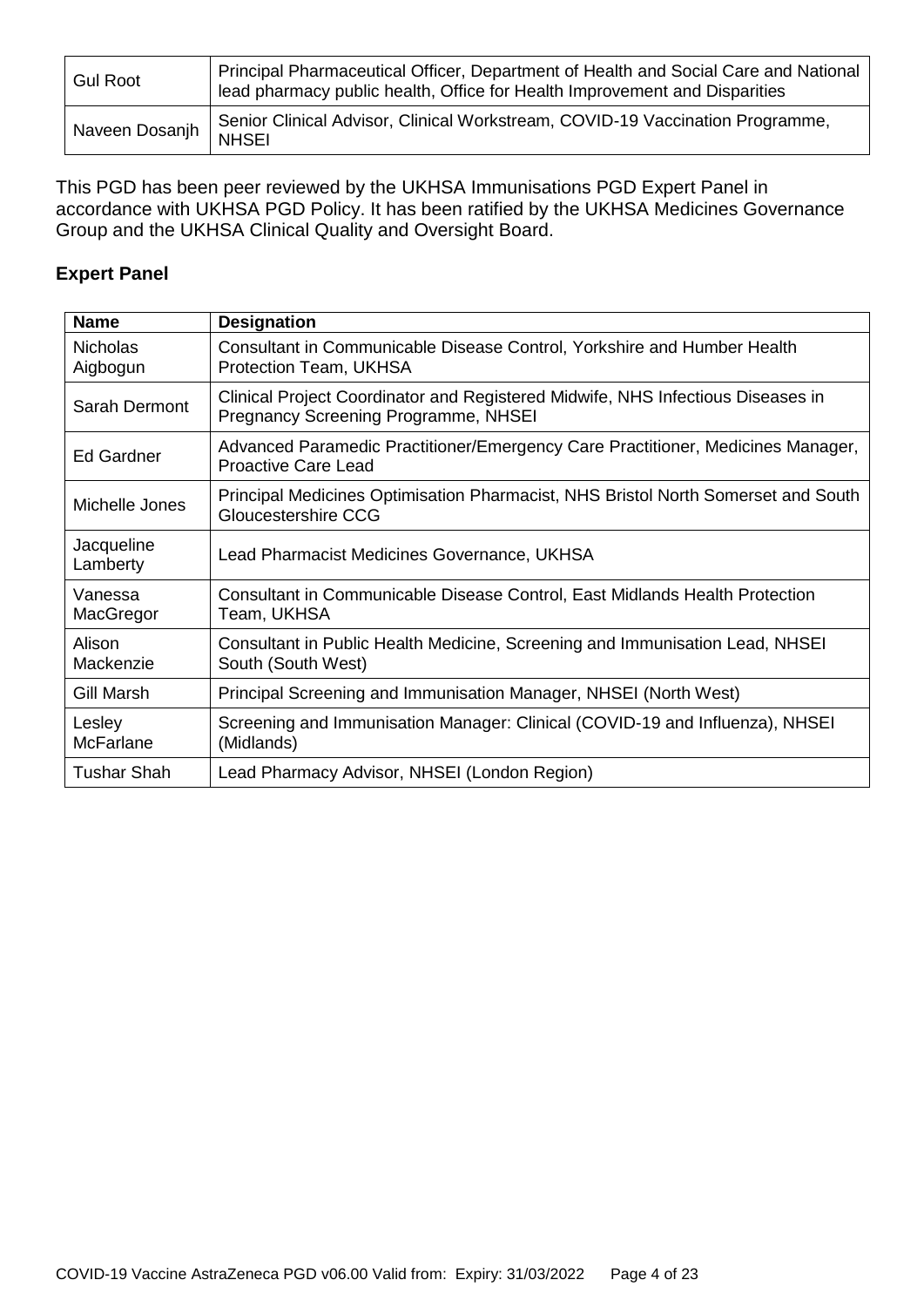| <b>Gul Root</b> | Principal Pharmaceutical Officer, Department of Health and Social Care and National<br>lead pharmacy public health, Office for Health Improvement and Disparities |
|-----------------|-------------------------------------------------------------------------------------------------------------------------------------------------------------------|
| Naveen Dosanjh  | Senior Clinical Advisor, Clinical Workstream, COVID-19 Vaccination Programme,<br><b>NHSEI</b>                                                                     |

This PGD has been peer reviewed by the UKHSA Immunisations PGD Expert Panel in accordance with UKHSA PGD Policy. It has been ratified by the UKHSA Medicines Governance Group and the UKHSA Clinical Quality and Oversight Board.

### **Expert Panel**

| <b>Name</b>                 | <b>Designation</b>                                                                                                      |
|-----------------------------|-------------------------------------------------------------------------------------------------------------------------|
| <b>Nicholas</b><br>Aigbogun | Consultant in Communicable Disease Control, Yorkshire and Humber Health<br>Protection Team, UKHSA                       |
| Sarah Dermont               | Clinical Project Coordinator and Registered Midwife, NHS Infectious Diseases in<br>Pregnancy Screening Programme, NHSEI |
| Ed Gardner                  | Advanced Paramedic Practitioner/Emergency Care Practitioner, Medicines Manager,<br><b>Proactive Care Lead</b>           |
| Michelle Jones              | Principal Medicines Optimisation Pharmacist, NHS Bristol North Somerset and South<br>Gloucestershire CCG                |
| Jacqueline<br>Lamberty      | Lead Pharmacist Medicines Governance, UKHSA                                                                             |
| Vanessa<br>MacGregor        | Consultant in Communicable Disease Control, East Midlands Health Protection<br>Team, UKHSA                              |
| Alison<br>Mackenzie         | Consultant in Public Health Medicine, Screening and Immunisation Lead, NHSEI<br>South (South West)                      |
| Gill Marsh                  | Principal Screening and Immunisation Manager, NHSEI (North West)                                                        |
| Lesley<br><b>McFarlane</b>  | Screening and Immunisation Manager: Clinical (COVID-19 and Influenza), NHSEI<br>(Midlands)                              |
| Tushar Shah                 | Lead Pharmacy Advisor, NHSEI (London Region)                                                                            |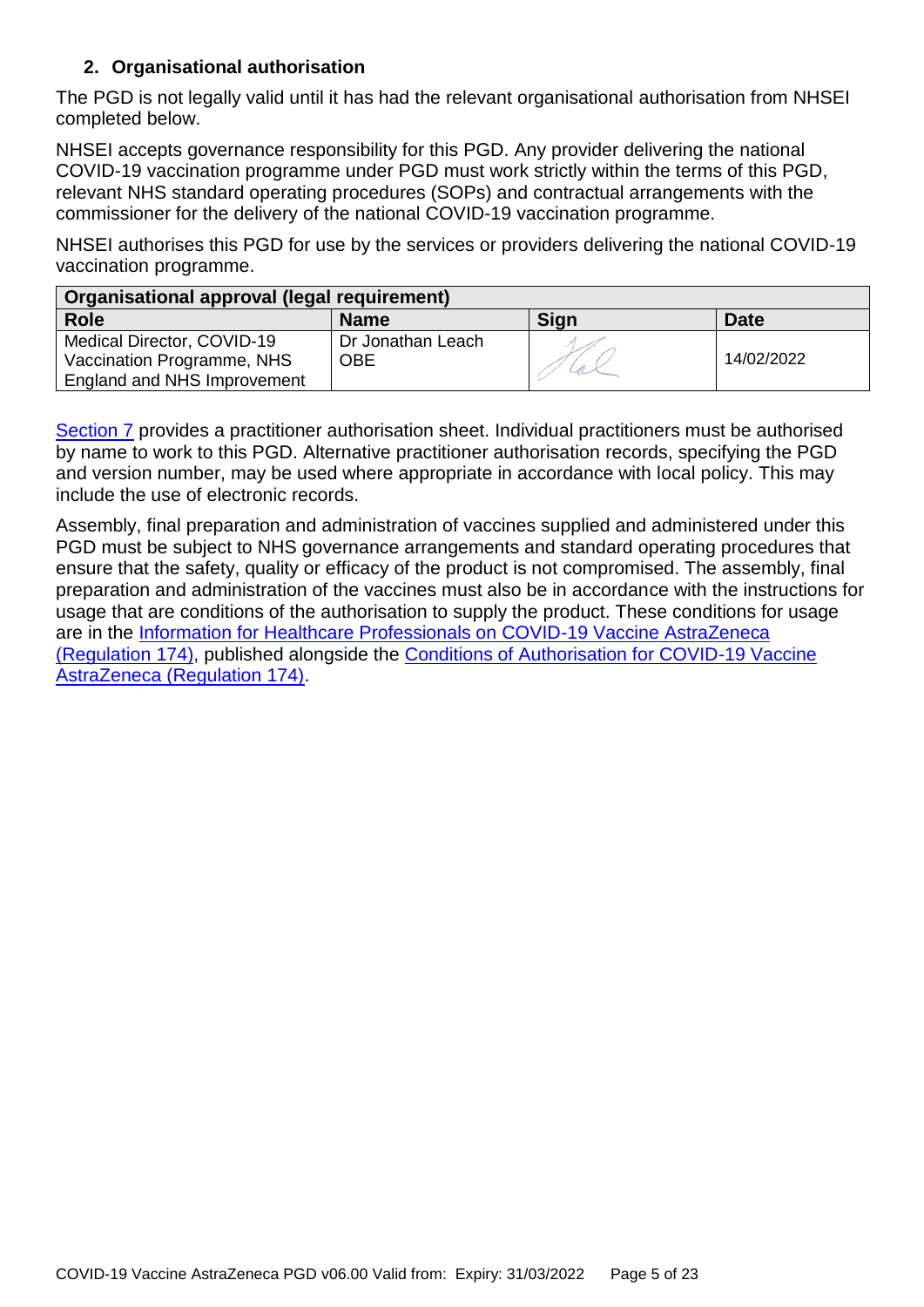### **2. Organisational authorisation**

The PGD is not legally valid until it has had the relevant organisational authorisation from NHSEI completed below.

NHSEI accepts governance responsibility for this PGD. Any provider delivering the national COVID-19 vaccination programme under PGD must work strictly within the terms of this PGD, relevant NHS standard operating procedures (SOPs) and contractual arrangements with the commissioner for the delivery of the national COVID-19 vaccination programme.

NHSEI authorises this PGD for use by the services or providers delivering the national COVID-19 vaccination programme.

| Organisational approval (legal requirement) |                   |             |             |
|---------------------------------------------|-------------------|-------------|-------------|
| <b>Role</b>                                 | <b>Name</b>       | <b>Sign</b> | <b>Date</b> |
| Medical Director, COVID-19                  | Dr Jonathan Leach |             |             |
| Vaccination Programme, NHS                  | <b>OBE</b>        |             | 14/02/2022  |
| England and NHS Improvement                 |                   |             |             |

[Section 7](#page-22-0) provides a practitioner authorisation sheet. Individual practitioners must be authorised by name to work to this PGD. Alternative practitioner authorisation records, specifying the PGD and version number, may be used where appropriate in accordance with local policy. This may include the use of electronic records.

Assembly, final preparation and administration of vaccines supplied and administered under this PGD must be subject to NHS governance arrangements and standard operating procedures that ensure that the safety, quality or efficacy of the product is not compromised. The assembly, final preparation and administration of the vaccines must also be in accordance with the instructions for usage that are conditions of the authorisation to supply the product. These conditions for usage are in the [Information for Healthcare Professionals on COVID-19 Vaccine AstraZeneca](https://www.gov.uk/government/publications/regulatory-approval-of-covid-19-vaccine-astrazeneca)  [\(Regulation 174\),](https://www.gov.uk/government/publications/regulatory-approval-of-covid-19-vaccine-astrazeneca) published alongside the [Conditions of Authorisation for COVID-19 Vaccine](https://www.gov.uk/government/publications/regulatory-approval-of-covid-19-vaccine-astrazeneca)  [AstraZeneca \(Regulation 174\).](https://www.gov.uk/government/publications/regulatory-approval-of-covid-19-vaccine-astrazeneca)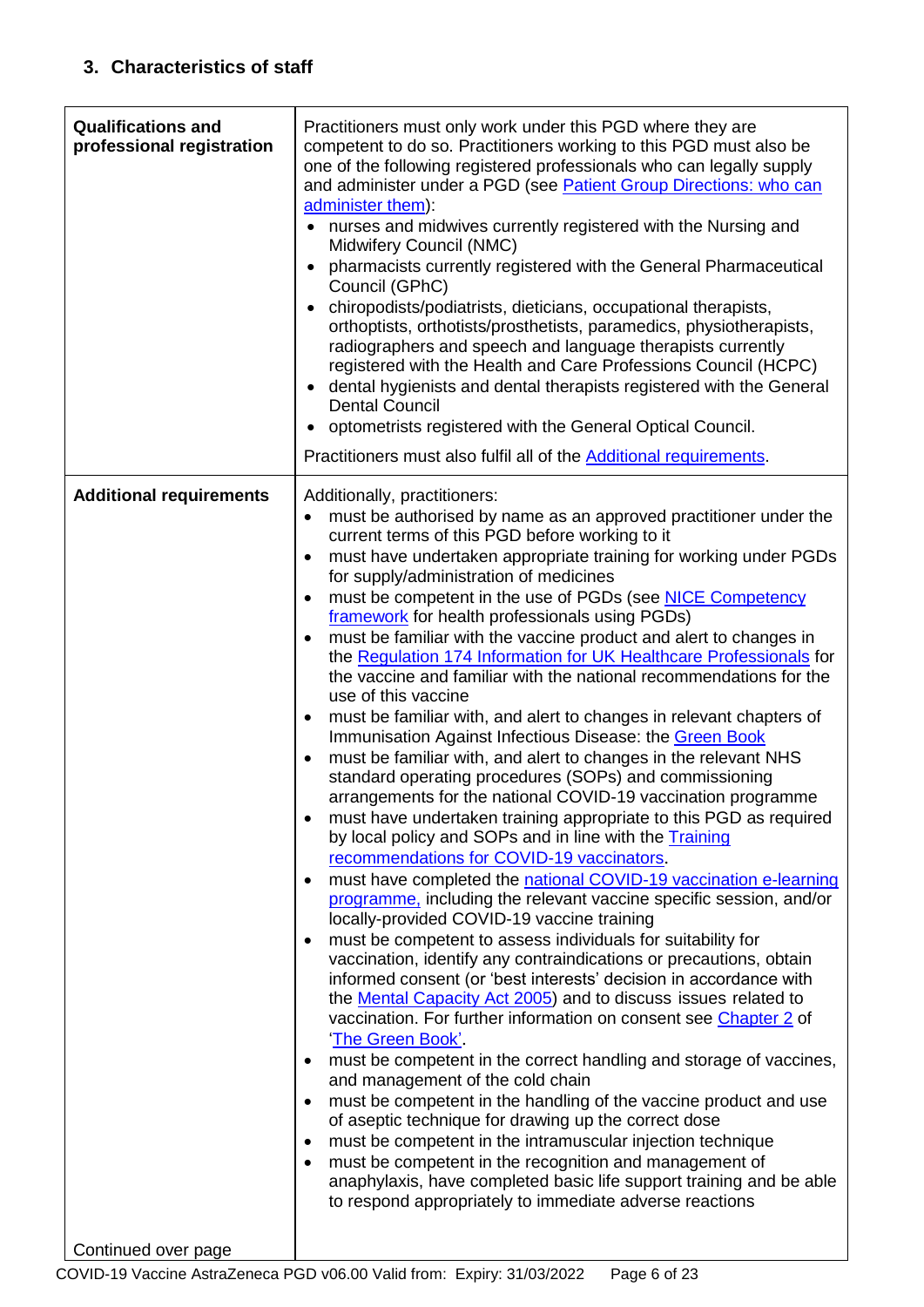<span id="page-5-1"></span><span id="page-5-0"></span>

| <b>Qualifications and</b><br>professional registration | Practitioners must only work under this PGD where they are<br>competent to do so. Practitioners working to this PGD must also be<br>one of the following registered professionals who can legally supply<br>and administer under a PGD (see Patient Group Directions: who can<br>administer them):<br>nurses and midwives currently registered with the Nursing and<br>$\bullet$<br>Midwifery Council (NMC)<br>pharmacists currently registered with the General Pharmaceutical<br>Council (GPhC)<br>chiropodists/podiatrists, dieticians, occupational therapists,<br>orthoptists, orthotists/prosthetists, paramedics, physiotherapists,<br>radiographers and speech and language therapists currently<br>registered with the Health and Care Professions Council (HCPC)<br>dental hygienists and dental therapists registered with the General<br><b>Dental Council</b><br>optometrists registered with the General Optical Council.<br>Practitioners must also fulfil all of the Additional requirements. |
|--------------------------------------------------------|---------------------------------------------------------------------------------------------------------------------------------------------------------------------------------------------------------------------------------------------------------------------------------------------------------------------------------------------------------------------------------------------------------------------------------------------------------------------------------------------------------------------------------------------------------------------------------------------------------------------------------------------------------------------------------------------------------------------------------------------------------------------------------------------------------------------------------------------------------------------------------------------------------------------------------------------------------------------------------------------------------------|
| <b>Additional requirements</b>                         | Additionally, practitioners:                                                                                                                                                                                                                                                                                                                                                                                                                                                                                                                                                                                                                                                                                                                                                                                                                                                                                                                                                                                  |
|                                                        | must be authorised by name as an approved practitioner under the<br>$\bullet$<br>current terms of this PGD before working to it                                                                                                                                                                                                                                                                                                                                                                                                                                                                                                                                                                                                                                                                                                                                                                                                                                                                               |
|                                                        | must have undertaken appropriate training for working under PGDs<br>for supply/administration of medicines                                                                                                                                                                                                                                                                                                                                                                                                                                                                                                                                                                                                                                                                                                                                                                                                                                                                                                    |
|                                                        | must be competent in the use of PGDs (see NICE Competency<br>٠<br>framework for health professionals using PGDs)                                                                                                                                                                                                                                                                                                                                                                                                                                                                                                                                                                                                                                                                                                                                                                                                                                                                                              |
|                                                        | must be familiar with the vaccine product and alert to changes in<br>the Regulation 174 Information for UK Healthcare Professionals for                                                                                                                                                                                                                                                                                                                                                                                                                                                                                                                                                                                                                                                                                                                                                                                                                                                                       |
|                                                        | the vaccine and familiar with the national recommendations for the<br>use of this vaccine                                                                                                                                                                                                                                                                                                                                                                                                                                                                                                                                                                                                                                                                                                                                                                                                                                                                                                                     |
|                                                        | must be familiar with, and alert to changes in relevant chapters of<br>٠<br>Immunisation Against Infectious Disease: the Green Book                                                                                                                                                                                                                                                                                                                                                                                                                                                                                                                                                                                                                                                                                                                                                                                                                                                                           |
|                                                        | must be familiar with, and alert to changes in the relevant NHS<br>$\bullet$<br>standard operating procedures (SOPs) and commissioning                                                                                                                                                                                                                                                                                                                                                                                                                                                                                                                                                                                                                                                                                                                                                                                                                                                                        |
|                                                        | arrangements for the national COVID-19 vaccination programme                                                                                                                                                                                                                                                                                                                                                                                                                                                                                                                                                                                                                                                                                                                                                                                                                                                                                                                                                  |
|                                                        | must have undertaken training appropriate to this PGD as required<br>by local policy and SOPs and in line with the Training                                                                                                                                                                                                                                                                                                                                                                                                                                                                                                                                                                                                                                                                                                                                                                                                                                                                                   |
|                                                        | recommendations for COVID-19 vaccinators.<br>must have completed the national COVID-19 vaccination e-learning                                                                                                                                                                                                                                                                                                                                                                                                                                                                                                                                                                                                                                                                                                                                                                                                                                                                                                 |
|                                                        | programme, including the relevant vaccine specific session, and/or<br>locally-provided COVID-19 vaccine training                                                                                                                                                                                                                                                                                                                                                                                                                                                                                                                                                                                                                                                                                                                                                                                                                                                                                              |
|                                                        | must be competent to assess individuals for suitability for                                                                                                                                                                                                                                                                                                                                                                                                                                                                                                                                                                                                                                                                                                                                                                                                                                                                                                                                                   |
|                                                        | vaccination, identify any contraindications or precautions, obtain<br>informed consent (or 'best interests' decision in accordance with                                                                                                                                                                                                                                                                                                                                                                                                                                                                                                                                                                                                                                                                                                                                                                                                                                                                       |
|                                                        | the Mental Capacity Act 2005) and to discuss issues related to<br>vaccination. For further information on consent see Chapter 2 of                                                                                                                                                                                                                                                                                                                                                                                                                                                                                                                                                                                                                                                                                                                                                                                                                                                                            |
|                                                        | 'The Green Book'.<br>must be competent in the correct handling and storage of vaccines,                                                                                                                                                                                                                                                                                                                                                                                                                                                                                                                                                                                                                                                                                                                                                                                                                                                                                                                       |
|                                                        | and management of the cold chain<br>must be competent in the handling of the vaccine product and use<br>$\bullet$                                                                                                                                                                                                                                                                                                                                                                                                                                                                                                                                                                                                                                                                                                                                                                                                                                                                                             |
|                                                        | of aseptic technique for drawing up the correct dose                                                                                                                                                                                                                                                                                                                                                                                                                                                                                                                                                                                                                                                                                                                                                                                                                                                                                                                                                          |
|                                                        | must be competent in the intramuscular injection technique<br>٠<br>must be competent in the recognition and management of                                                                                                                                                                                                                                                                                                                                                                                                                                                                                                                                                                                                                                                                                                                                                                                                                                                                                     |
|                                                        | anaphylaxis, have completed basic life support training and be able<br>to respond appropriately to immediate adverse reactions                                                                                                                                                                                                                                                                                                                                                                                                                                                                                                                                                                                                                                                                                                                                                                                                                                                                                |
| Continued over page                                    |                                                                                                                                                                                                                                                                                                                                                                                                                                                                                                                                                                                                                                                                                                                                                                                                                                                                                                                                                                                                               |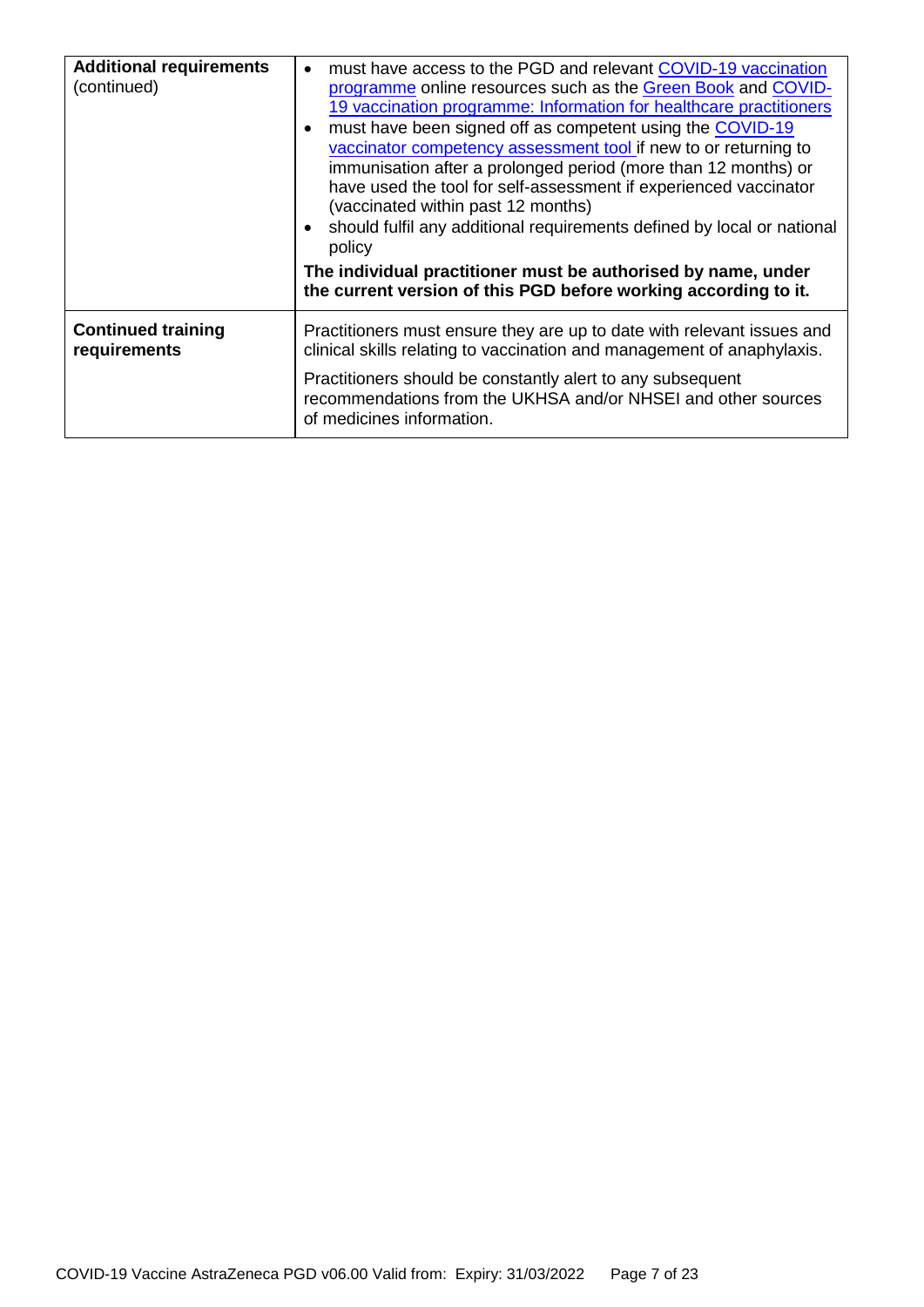| must have access to the PGD and relevant COVID-19 vaccination<br>$\bullet$<br>programme online resources such as the Green Book and COVID-<br>19 vaccination programme: Information for healthcare practitioners<br>must have been signed off as competent using the COVID-19<br>vaccinator competency assessment tool if new to or returning to<br>immunisation after a prolonged period (more than 12 months) or<br>have used the tool for self-assessment if experienced vaccinator<br>(vaccinated within past 12 months)<br>should fulfil any additional requirements defined by local or national<br>policy<br>The individual practitioner must be authorised by name, under<br>the current version of this PGD before working according to it. |
|------------------------------------------------------------------------------------------------------------------------------------------------------------------------------------------------------------------------------------------------------------------------------------------------------------------------------------------------------------------------------------------------------------------------------------------------------------------------------------------------------------------------------------------------------------------------------------------------------------------------------------------------------------------------------------------------------------------------------------------------------|
| Practitioners must ensure they are up to date with relevant issues and<br>clinical skills relating to vaccination and management of anaphylaxis.<br>Practitioners should be constantly alert to any subsequent<br>recommendations from the UKHSA and/or NHSEI and other sources<br>of medicines information.                                                                                                                                                                                                                                                                                                                                                                                                                                         |
|                                                                                                                                                                                                                                                                                                                                                                                                                                                                                                                                                                                                                                                                                                                                                      |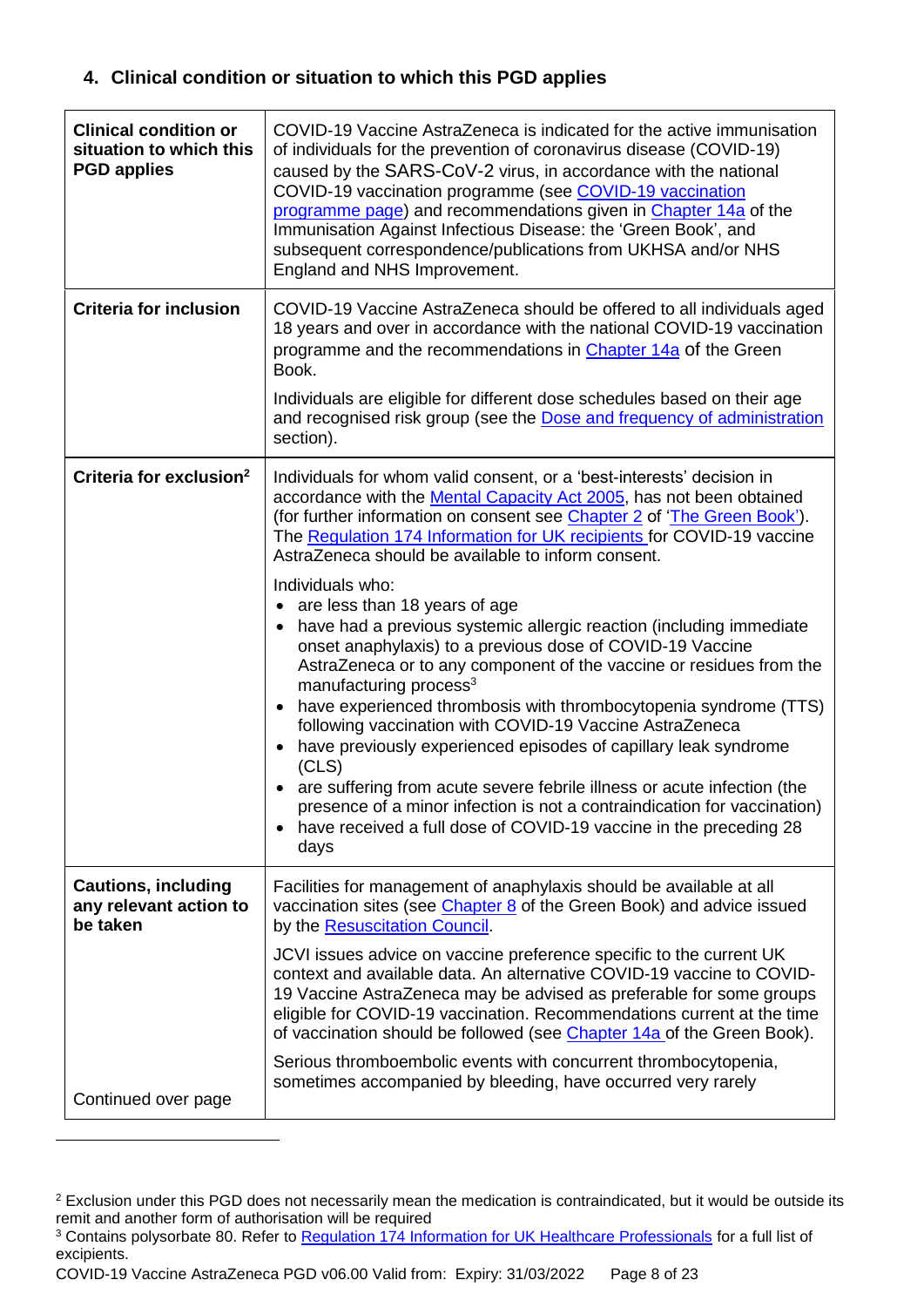### **4. Clinical condition or situation to which this PGD applies**

| <b>Clinical condition or</b><br>situation to which this<br><b>PGD applies</b> | COVID-19 Vaccine AstraZeneca is indicated for the active immunisation<br>of individuals for the prevention of coronavirus disease (COVID-19)<br>caused by the SARS-CoV-2 virus, in accordance with the national<br>COVID-19 vaccination programme (see COVID-19 vaccination<br>programme page) and recommendations given in Chapter 14a of the<br>Immunisation Against Infectious Disease: the 'Green Book', and<br>subsequent correspondence/publications from UKHSA and/or NHS<br>England and NHS Improvement.                                                                                                                                                                                                                                    |
|-------------------------------------------------------------------------------|-----------------------------------------------------------------------------------------------------------------------------------------------------------------------------------------------------------------------------------------------------------------------------------------------------------------------------------------------------------------------------------------------------------------------------------------------------------------------------------------------------------------------------------------------------------------------------------------------------------------------------------------------------------------------------------------------------------------------------------------------------|
| <b>Criteria for inclusion</b>                                                 | COVID-19 Vaccine AstraZeneca should be offered to all individuals aged<br>18 years and over in accordance with the national COVID-19 vaccination<br>programme and the recommendations in Chapter 14a of the Green<br>Book.                                                                                                                                                                                                                                                                                                                                                                                                                                                                                                                          |
|                                                                               | Individuals are eligible for different dose schedules based on their age<br>and recognised risk group (see the Dose and frequency of administration<br>section).                                                                                                                                                                                                                                                                                                                                                                                                                                                                                                                                                                                    |
| Criteria for exclusion <sup>2</sup>                                           | Individuals for whom valid consent, or a 'best-interests' decision in<br>accordance with the Mental Capacity Act 2005, has not been obtained<br>(for further information on consent see Chapter 2 of 'The Green Book').<br>The Regulation 174 Information for UK recipients for COVID-19 vaccine<br>AstraZeneca should be available to inform consent.                                                                                                                                                                                                                                                                                                                                                                                              |
|                                                                               | Individuals who:<br>• are less than 18 years of age<br>have had a previous systemic allergic reaction (including immediate<br>onset anaphylaxis) to a previous dose of COVID-19 Vaccine<br>AstraZeneca or to any component of the vaccine or residues from the<br>manufacturing process <sup>3</sup><br>have experienced thrombosis with thrombocytopenia syndrome (TTS)<br>following vaccination with COVID-19 Vaccine AstraZeneca<br>have previously experienced episodes of capillary leak syndrome<br>(CLS)<br>are suffering from acute severe febrile illness or acute infection (the<br>presence of a minor infection is not a contraindication for vaccination)<br>have received a full dose of COVID-19 vaccine in the preceding 28<br>days |
| <b>Cautions, including</b><br>any relevant action to<br>be taken              | Facilities for management of anaphylaxis should be available at all<br>vaccination sites (see Chapter 8 of the Green Book) and advice issued<br>by the Resuscitation Council.                                                                                                                                                                                                                                                                                                                                                                                                                                                                                                                                                                       |
|                                                                               | JCVI issues advice on vaccine preference specific to the current UK<br>context and available data. An alternative COVID-19 vaccine to COVID-<br>19 Vaccine AstraZeneca may be advised as preferable for some groups<br>eligible for COVID-19 vaccination. Recommendations current at the time<br>of vaccination should be followed (see Chapter 14a of the Green Book).                                                                                                                                                                                                                                                                                                                                                                             |
| Continued over page                                                           | Serious thromboembolic events with concurrent thrombocytopenia,<br>sometimes accompanied by bleeding, have occurred very rarely                                                                                                                                                                                                                                                                                                                                                                                                                                                                                                                                                                                                                     |

<sup>&</sup>lt;sup>2</sup> Exclusion under this PGD does not necessarily mean the medication is contraindicated, but it would be outside its remit and another form of authorisation will be required

1

<sup>&</sup>lt;sup>3</sup> Contains polysorbate 80. Refer to [Regulation 174 Information for UK Healthcare Professionals](https://www.gov.uk/government/publications/regulatory-approval-of-covid-19-vaccine-astrazeneca) for a full list of excipients.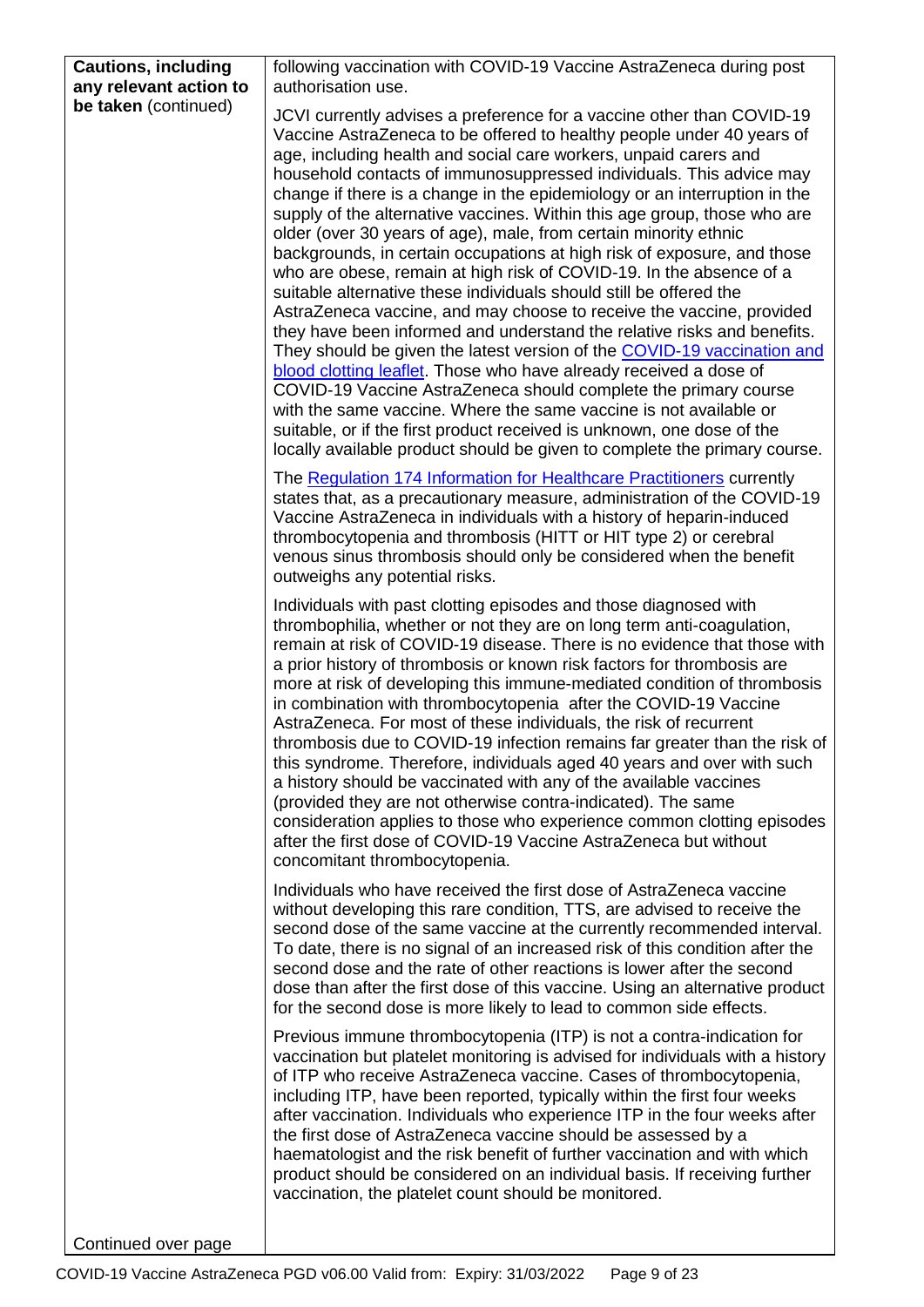| <b>Cautions, including</b><br>any relevant action to | following vaccination with COVID-19 Vaccine AstraZeneca during post<br>authorisation use.                                                                                                                                                                                                                                                                                                                                                                                                                                                                                                                                                                                                                                                                                                                                                                                                                                                                                                                                                                                                                                                                                                                                                                                                                                                        |
|------------------------------------------------------|--------------------------------------------------------------------------------------------------------------------------------------------------------------------------------------------------------------------------------------------------------------------------------------------------------------------------------------------------------------------------------------------------------------------------------------------------------------------------------------------------------------------------------------------------------------------------------------------------------------------------------------------------------------------------------------------------------------------------------------------------------------------------------------------------------------------------------------------------------------------------------------------------------------------------------------------------------------------------------------------------------------------------------------------------------------------------------------------------------------------------------------------------------------------------------------------------------------------------------------------------------------------------------------------------------------------------------------------------|
| be taken (continued)                                 |                                                                                                                                                                                                                                                                                                                                                                                                                                                                                                                                                                                                                                                                                                                                                                                                                                                                                                                                                                                                                                                                                                                                                                                                                                                                                                                                                  |
|                                                      | JCVI currently advises a preference for a vaccine other than COVID-19<br>Vaccine AstraZeneca to be offered to healthy people under 40 years of<br>age, including health and social care workers, unpaid carers and<br>household contacts of immunosuppressed individuals. This advice may<br>change if there is a change in the epidemiology or an interruption in the<br>supply of the alternative vaccines. Within this age group, those who are<br>older (over 30 years of age), male, from certain minority ethnic<br>backgrounds, in certain occupations at high risk of exposure, and those<br>who are obese, remain at high risk of COVID-19. In the absence of a<br>suitable alternative these individuals should still be offered the<br>AstraZeneca vaccine, and may choose to receive the vaccine, provided<br>they have been informed and understand the relative risks and benefits.<br>They should be given the latest version of the COVID-19 vaccination and<br>blood clotting leaflet. Those who have already received a dose of<br>COVID-19 Vaccine AstraZeneca should complete the primary course<br>with the same vaccine. Where the same vaccine is not available or<br>suitable, or if the first product received is unknown, one dose of the<br>locally available product should be given to complete the primary course. |
|                                                      | The Regulation 174 Information for Healthcare Practitioners currently<br>states that, as a precautionary measure, administration of the COVID-19<br>Vaccine AstraZeneca in individuals with a history of heparin-induced<br>thrombocytopenia and thrombosis (HITT or HIT type 2) or cerebral<br>venous sinus thrombosis should only be considered when the benefit<br>outweighs any potential risks.                                                                                                                                                                                                                                                                                                                                                                                                                                                                                                                                                                                                                                                                                                                                                                                                                                                                                                                                             |
|                                                      | Individuals with past clotting episodes and those diagnosed with<br>thrombophilia, whether or not they are on long term anti-coagulation,<br>remain at risk of COVID-19 disease. There is no evidence that those with<br>a prior history of thrombosis or known risk factors for thrombosis are<br>more at risk of developing this immune-mediated condition of thrombosis<br>in combination with thrombocytopenia after the COVID-19 Vaccine<br>AstraZeneca. For most of these individuals, the risk of recurrent<br>thrombosis due to COVID-19 infection remains far greater than the risk of<br>this syndrome. Therefore, individuals aged 40 years and over with such<br>a history should be vaccinated with any of the available vaccines<br>(provided they are not otherwise contra-indicated). The same<br>consideration applies to those who experience common clotting episodes<br>after the first dose of COVID-19 Vaccine AstraZeneca but without<br>concomitant thrombocytopenia.                                                                                                                                                                                                                                                                                                                                                    |
|                                                      | Individuals who have received the first dose of AstraZeneca vaccine<br>without developing this rare condition, TTS, are advised to receive the<br>second dose of the same vaccine at the currently recommended interval.<br>To date, there is no signal of an increased risk of this condition after the<br>second dose and the rate of other reactions is lower after the second<br>dose than after the first dose of this vaccine. Using an alternative product<br>for the second dose is more likely to lead to common side effects.                                                                                                                                                                                                                                                                                                                                                                                                                                                                                                                                                                                                                                                                                                                                                                                                          |
|                                                      | Previous immune thrombocytopenia (ITP) is not a contra-indication for<br>vaccination but platelet monitoring is advised for individuals with a history<br>of ITP who receive AstraZeneca vaccine. Cases of thrombocytopenia,<br>including ITP, have been reported, typically within the first four weeks<br>after vaccination. Individuals who experience ITP in the four weeks after<br>the first dose of AstraZeneca vaccine should be assessed by a<br>haematologist and the risk benefit of further vaccination and with which<br>product should be considered on an individual basis. If receiving further<br>vaccination, the platelet count should be monitored.                                                                                                                                                                                                                                                                                                                                                                                                                                                                                                                                                                                                                                                                          |
| Continued over page                                  |                                                                                                                                                                                                                                                                                                                                                                                                                                                                                                                                                                                                                                                                                                                                                                                                                                                                                                                                                                                                                                                                                                                                                                                                                                                                                                                                                  |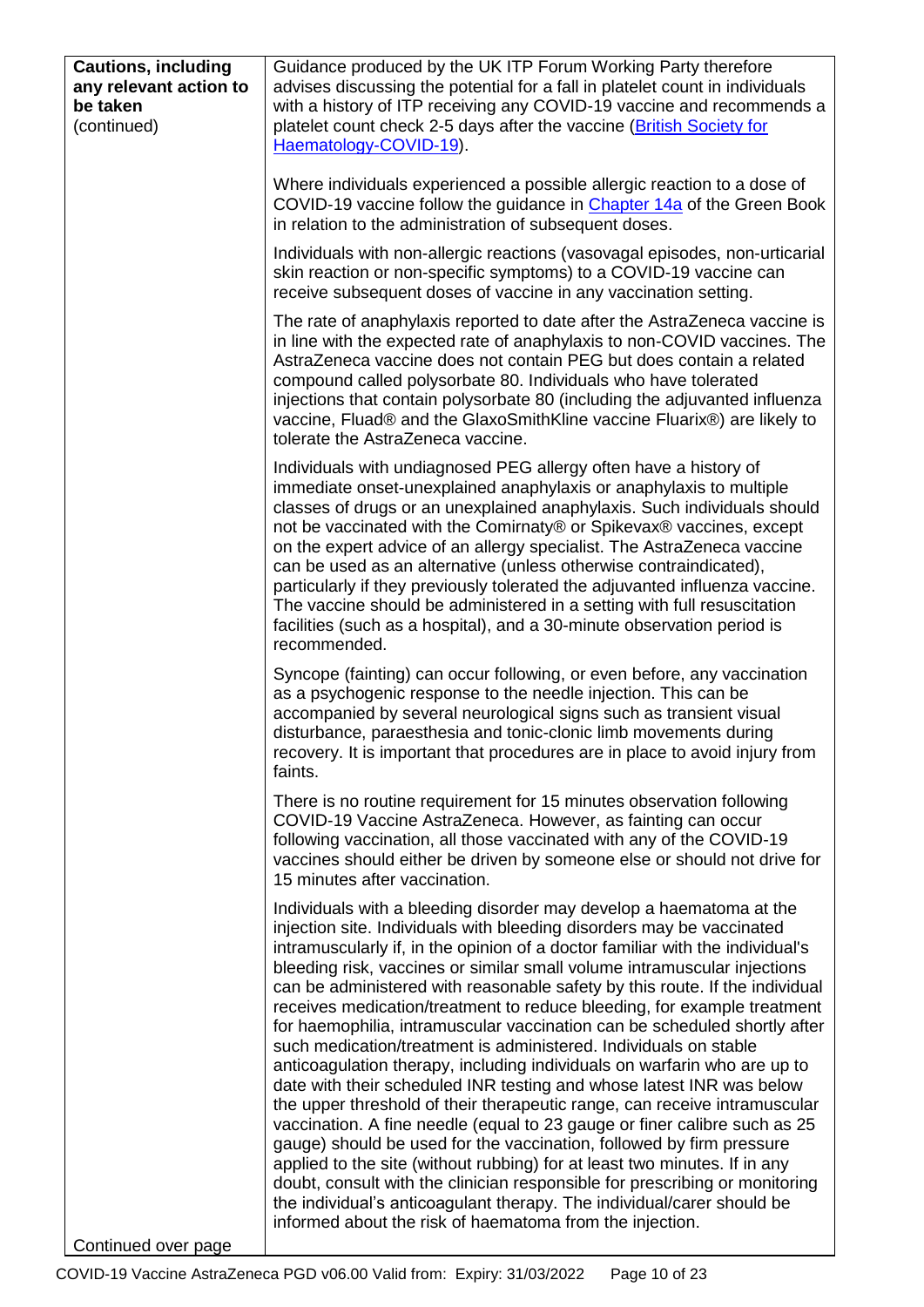| <b>Cautions, including</b><br>any relevant action to<br>be taken<br>(continued) | Guidance produced by the UK ITP Forum Working Party therefore<br>advises discussing the potential for a fall in platelet count in individuals<br>with a history of ITP receiving any COVID-19 vaccine and recommends a<br>platelet count check 2-5 days after the vaccine (British Society for<br>Haematology-COVID-19).                                                                                                                                                                                                                                                                                                                                                                                                                                                                                                                                                                                                                                                                                                                                                                                                                                                                                                                                                                                     |
|---------------------------------------------------------------------------------|--------------------------------------------------------------------------------------------------------------------------------------------------------------------------------------------------------------------------------------------------------------------------------------------------------------------------------------------------------------------------------------------------------------------------------------------------------------------------------------------------------------------------------------------------------------------------------------------------------------------------------------------------------------------------------------------------------------------------------------------------------------------------------------------------------------------------------------------------------------------------------------------------------------------------------------------------------------------------------------------------------------------------------------------------------------------------------------------------------------------------------------------------------------------------------------------------------------------------------------------------------------------------------------------------------------|
|                                                                                 | Where individuals experienced a possible allergic reaction to a dose of<br>COVID-19 vaccine follow the guidance in Chapter 14a of the Green Book<br>in relation to the administration of subsequent doses.                                                                                                                                                                                                                                                                                                                                                                                                                                                                                                                                                                                                                                                                                                                                                                                                                                                                                                                                                                                                                                                                                                   |
|                                                                                 | Individuals with non-allergic reactions (vasovagal episodes, non-urticarial<br>skin reaction or non-specific symptoms) to a COVID-19 vaccine can<br>receive subsequent doses of vaccine in any vaccination setting.                                                                                                                                                                                                                                                                                                                                                                                                                                                                                                                                                                                                                                                                                                                                                                                                                                                                                                                                                                                                                                                                                          |
|                                                                                 | The rate of anaphylaxis reported to date after the AstraZeneca vaccine is<br>in line with the expected rate of anaphylaxis to non-COVID vaccines. The<br>AstraZeneca vaccine does not contain PEG but does contain a related<br>compound called polysorbate 80. Individuals who have tolerated<br>injections that contain polysorbate 80 (including the adjuvanted influenza<br>vaccine, Fluad® and the GlaxoSmithKline vaccine Fluarix®) are likely to<br>tolerate the AstraZeneca vaccine.                                                                                                                                                                                                                                                                                                                                                                                                                                                                                                                                                                                                                                                                                                                                                                                                                 |
|                                                                                 | Individuals with undiagnosed PEG allergy often have a history of<br>immediate onset-unexplained anaphylaxis or anaphylaxis to multiple<br>classes of drugs or an unexplained anaphylaxis. Such individuals should<br>not be vaccinated with the Comirnaty® or Spikevax® vaccines, except<br>on the expert advice of an allergy specialist. The AstraZeneca vaccine<br>can be used as an alternative (unless otherwise contraindicated),<br>particularly if they previously tolerated the adjuvanted influenza vaccine.<br>The vaccine should be administered in a setting with full resuscitation<br>facilities (such as a hospital), and a 30-minute observation period is<br>recommended.                                                                                                                                                                                                                                                                                                                                                                                                                                                                                                                                                                                                                  |
|                                                                                 | Syncope (fainting) can occur following, or even before, any vaccination<br>as a psychogenic response to the needle injection. This can be<br>accompanied by several neurological signs such as transient visual<br>disturbance, paraesthesia and tonic-clonic limb movements during<br>recovery. It is important that procedures are in place to avoid injury from<br>faints.                                                                                                                                                                                                                                                                                                                                                                                                                                                                                                                                                                                                                                                                                                                                                                                                                                                                                                                                |
|                                                                                 | There is no routine requirement for 15 minutes observation following<br>COVID-19 Vaccine AstraZeneca. However, as fainting can occur<br>following vaccination, all those vaccinated with any of the COVID-19<br>vaccines should either be driven by someone else or should not drive for<br>15 minutes after vaccination.                                                                                                                                                                                                                                                                                                                                                                                                                                                                                                                                                                                                                                                                                                                                                                                                                                                                                                                                                                                    |
|                                                                                 | Individuals with a bleeding disorder may develop a haematoma at the<br>injection site. Individuals with bleeding disorders may be vaccinated<br>intramuscularly if, in the opinion of a doctor familiar with the individual's<br>bleeding risk, vaccines or similar small volume intramuscular injections<br>can be administered with reasonable safety by this route. If the individual<br>receives medication/treatment to reduce bleeding, for example treatment<br>for haemophilia, intramuscular vaccination can be scheduled shortly after<br>such medication/treatment is administered. Individuals on stable<br>anticoagulation therapy, including individuals on warfarin who are up to<br>date with their scheduled INR testing and whose latest INR was below<br>the upper threshold of their therapeutic range, can receive intramuscular<br>vaccination. A fine needle (equal to 23 gauge or finer calibre such as 25<br>gauge) should be used for the vaccination, followed by firm pressure<br>applied to the site (without rubbing) for at least two minutes. If in any<br>doubt, consult with the clinician responsible for prescribing or monitoring<br>the individual's anticoagulant therapy. The individual/carer should be<br>informed about the risk of haematoma from the injection. |
| Continued over page                                                             |                                                                                                                                                                                                                                                                                                                                                                                                                                                                                                                                                                                                                                                                                                                                                                                                                                                                                                                                                                                                                                                                                                                                                                                                                                                                                                              |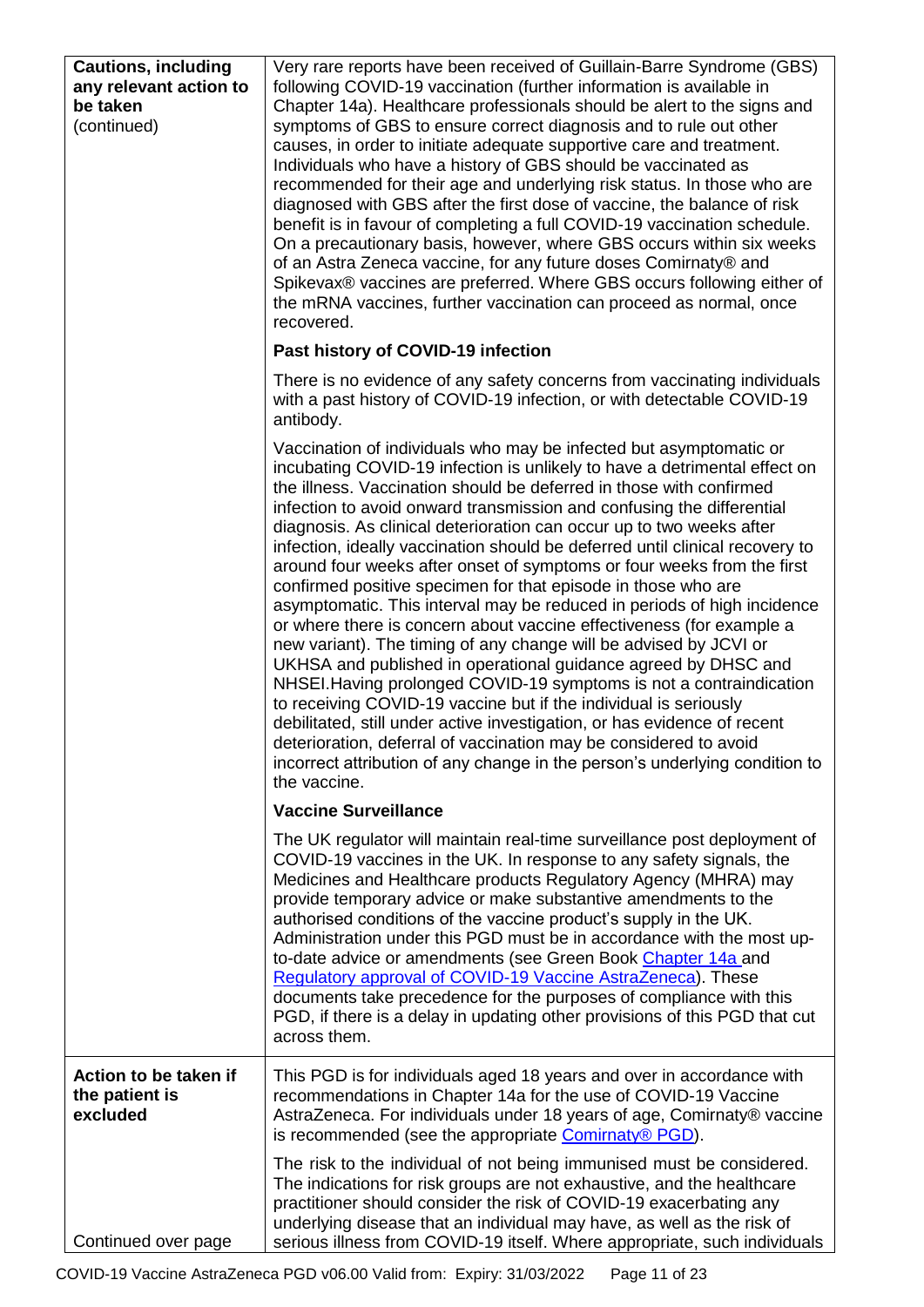| <b>Cautions, including</b><br>any relevant action to<br>be taken<br>(continued) | Very rare reports have been received of Guillain-Barre Syndrome (GBS)<br>following COVID-19 vaccination (further information is available in<br>Chapter 14a). Healthcare professionals should be alert to the signs and<br>symptoms of GBS to ensure correct diagnosis and to rule out other<br>causes, in order to initiate adequate supportive care and treatment.<br>Individuals who have a history of GBS should be vaccinated as<br>recommended for their age and underlying risk status. In those who are<br>diagnosed with GBS after the first dose of vaccine, the balance of risk<br>benefit is in favour of completing a full COVID-19 vaccination schedule.<br>On a precautionary basis, however, where GBS occurs within six weeks<br>of an Astra Zeneca vaccine, for any future doses Comirnaty® and<br>Spikevax® vaccines are preferred. Where GBS occurs following either of<br>the mRNA vaccines, further vaccination can proceed as normal, once<br>recovered.                                                                                                                                                                                                                                                                                                         |
|---------------------------------------------------------------------------------|-----------------------------------------------------------------------------------------------------------------------------------------------------------------------------------------------------------------------------------------------------------------------------------------------------------------------------------------------------------------------------------------------------------------------------------------------------------------------------------------------------------------------------------------------------------------------------------------------------------------------------------------------------------------------------------------------------------------------------------------------------------------------------------------------------------------------------------------------------------------------------------------------------------------------------------------------------------------------------------------------------------------------------------------------------------------------------------------------------------------------------------------------------------------------------------------------------------------------------------------------------------------------------------------|
|                                                                                 | Past history of COVID-19 infection                                                                                                                                                                                                                                                                                                                                                                                                                                                                                                                                                                                                                                                                                                                                                                                                                                                                                                                                                                                                                                                                                                                                                                                                                                                      |
|                                                                                 | There is no evidence of any safety concerns from vaccinating individuals<br>with a past history of COVID-19 infection, or with detectable COVID-19<br>antibody.                                                                                                                                                                                                                                                                                                                                                                                                                                                                                                                                                                                                                                                                                                                                                                                                                                                                                                                                                                                                                                                                                                                         |
|                                                                                 | Vaccination of individuals who may be infected but asymptomatic or<br>incubating COVID-19 infection is unlikely to have a detrimental effect on<br>the illness. Vaccination should be deferred in those with confirmed<br>infection to avoid onward transmission and confusing the differential<br>diagnosis. As clinical deterioration can occur up to two weeks after<br>infection, ideally vaccination should be deferred until clinical recovery to<br>around four weeks after onset of symptoms or four weeks from the first<br>confirmed positive specimen for that episode in those who are<br>asymptomatic. This interval may be reduced in periods of high incidence<br>or where there is concern about vaccine effectiveness (for example a<br>new variant). The timing of any change will be advised by JCVI or<br>UKHSA and published in operational guidance agreed by DHSC and<br>NHSEI. Having prolonged COVID-19 symptoms is not a contraindication<br>to receiving COVID-19 vaccine but if the individual is seriously<br>debilitated, still under active investigation, or has evidence of recent<br>deterioration, deferral of vaccination may be considered to avoid<br>incorrect attribution of any change in the person's underlying condition to<br>the vaccine. |
|                                                                                 | <b>Vaccine Surveillance</b>                                                                                                                                                                                                                                                                                                                                                                                                                                                                                                                                                                                                                                                                                                                                                                                                                                                                                                                                                                                                                                                                                                                                                                                                                                                             |
|                                                                                 | The UK regulator will maintain real-time surveillance post deployment of<br>COVID-19 vaccines in the UK. In response to any safety signals, the<br>Medicines and Healthcare products Regulatory Agency (MHRA) may<br>provide temporary advice or make substantive amendments to the<br>authorised conditions of the vaccine product's supply in the UK.<br>Administration under this PGD must be in accordance with the most up-<br>to-date advice or amendments (see Green Book Chapter 14a and<br>Regulatory approval of COVID-19 Vaccine AstraZeneca). These<br>documents take precedence for the purposes of compliance with this<br>PGD, if there is a delay in updating other provisions of this PGD that cut<br>across them.                                                                                                                                                                                                                                                                                                                                                                                                                                                                                                                                                     |
| Action to be taken if<br>the patient is<br>excluded                             | This PGD is for individuals aged 18 years and over in accordance with<br>recommendations in Chapter 14a for the use of COVID-19 Vaccine<br>AstraZeneca. For individuals under 18 years of age, Comirnaty® vaccine<br>is recommended (see the appropriate Comirnaty® PGD).                                                                                                                                                                                                                                                                                                                                                                                                                                                                                                                                                                                                                                                                                                                                                                                                                                                                                                                                                                                                               |
| Continued over page                                                             | The risk to the individual of not being immunised must be considered.<br>The indications for risk groups are not exhaustive, and the healthcare<br>practitioner should consider the risk of COVID-19 exacerbating any<br>underlying disease that an individual may have, as well as the risk of<br>serious illness from COVID-19 itself. Where appropriate, such individuals                                                                                                                                                                                                                                                                                                                                                                                                                                                                                                                                                                                                                                                                                                                                                                                                                                                                                                            |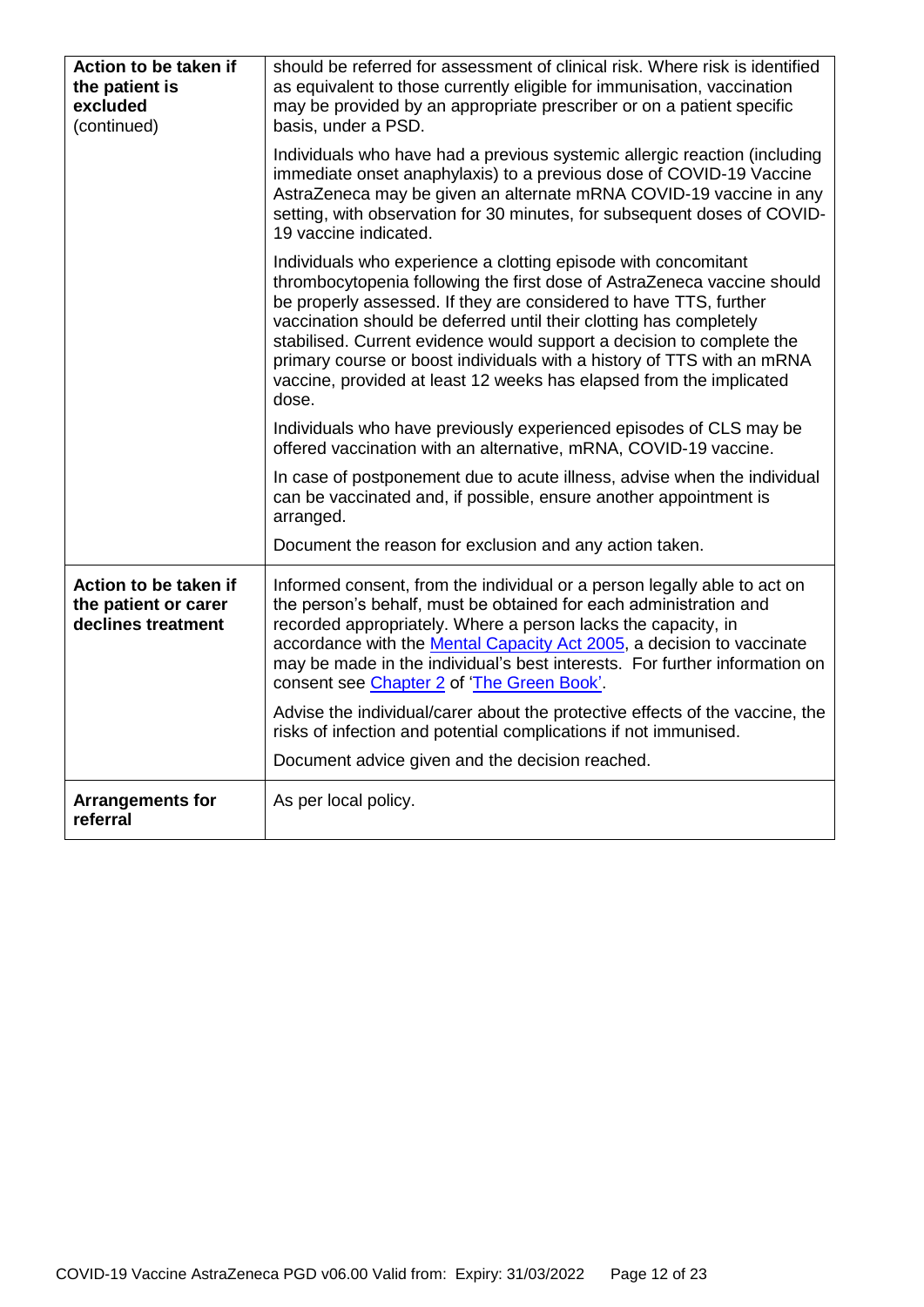| Action to be taken if<br>the patient is<br>excluded<br>(continued)  | should be referred for assessment of clinical risk. Where risk is identified<br>as equivalent to those currently eligible for immunisation, vaccination<br>may be provided by an appropriate prescriber or on a patient specific<br>basis, under a PSD.                                                                                                                                                                                                                                                                 |
|---------------------------------------------------------------------|-------------------------------------------------------------------------------------------------------------------------------------------------------------------------------------------------------------------------------------------------------------------------------------------------------------------------------------------------------------------------------------------------------------------------------------------------------------------------------------------------------------------------|
|                                                                     | Individuals who have had a previous systemic allergic reaction (including<br>immediate onset anaphylaxis) to a previous dose of COVID-19 Vaccine<br>AstraZeneca may be given an alternate mRNA COVID-19 vaccine in any<br>setting, with observation for 30 minutes, for subsequent doses of COVID-<br>19 vaccine indicated.                                                                                                                                                                                             |
|                                                                     | Individuals who experience a clotting episode with concomitant<br>thrombocytopenia following the first dose of AstraZeneca vaccine should<br>be properly assessed. If they are considered to have TTS, further<br>vaccination should be deferred until their clotting has completely<br>stabilised. Current evidence would support a decision to complete the<br>primary course or boost individuals with a history of TTS with an mRNA<br>vaccine, provided at least 12 weeks has elapsed from the implicated<br>dose. |
|                                                                     | Individuals who have previously experienced episodes of CLS may be<br>offered vaccination with an alternative, mRNA, COVID-19 vaccine.                                                                                                                                                                                                                                                                                                                                                                                  |
|                                                                     | In case of postponement due to acute illness, advise when the individual<br>can be vaccinated and, if possible, ensure another appointment is<br>arranged.                                                                                                                                                                                                                                                                                                                                                              |
|                                                                     | Document the reason for exclusion and any action taken.                                                                                                                                                                                                                                                                                                                                                                                                                                                                 |
| Action to be taken if<br>the patient or carer<br>declines treatment | Informed consent, from the individual or a person legally able to act on<br>the person's behalf, must be obtained for each administration and<br>recorded appropriately. Where a person lacks the capacity, in<br>accordance with the Mental Capacity Act 2005, a decision to vaccinate<br>may be made in the individual's best interests. For further information on<br>consent see Chapter 2 of 'The Green Book'.                                                                                                     |
|                                                                     | Advise the individual/carer about the protective effects of the vaccine, the<br>risks of infection and potential complications if not immunised.                                                                                                                                                                                                                                                                                                                                                                        |
|                                                                     | Document advice given and the decision reached.                                                                                                                                                                                                                                                                                                                                                                                                                                                                         |
| <b>Arrangements for</b><br>referral                                 | As per local policy.                                                                                                                                                                                                                                                                                                                                                                                                                                                                                                    |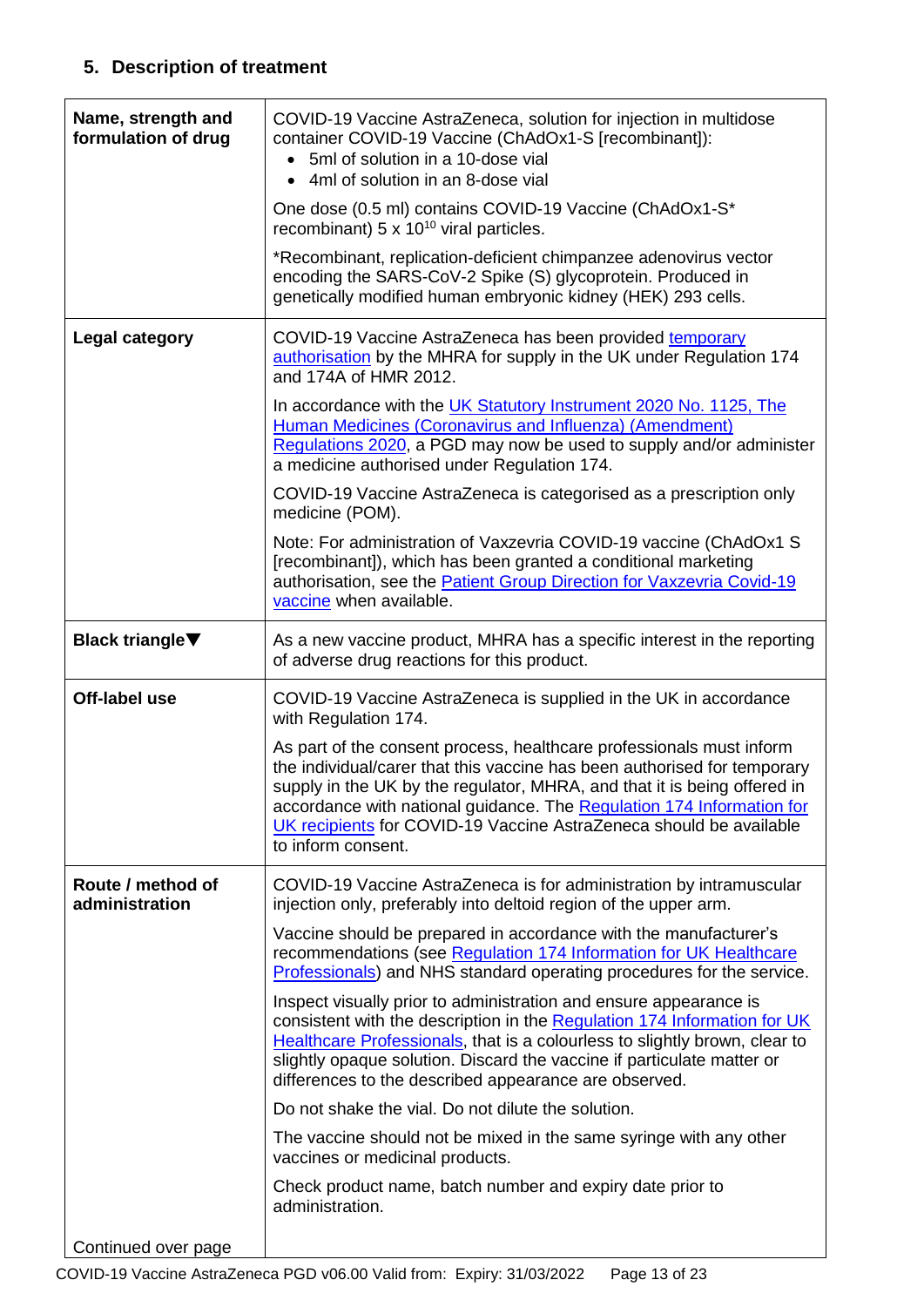## **5. Description of treatment**

| Name, strength and<br>formulation of drug | COVID-19 Vaccine AstraZeneca, solution for injection in multidose<br>container COVID-19 Vaccine (ChAdOx1-S [recombinant]):<br>5ml of solution in a 10-dose vial<br>4ml of solution in an 8-dose vial<br>$\bullet$                                                                                                                                                                                 |
|-------------------------------------------|---------------------------------------------------------------------------------------------------------------------------------------------------------------------------------------------------------------------------------------------------------------------------------------------------------------------------------------------------------------------------------------------------|
|                                           | One dose (0.5 ml) contains COVID-19 Vaccine (ChAdOx1-S*<br>recombinant) $5 \times 10^{10}$ viral particles.                                                                                                                                                                                                                                                                                       |
|                                           | *Recombinant, replication-deficient chimpanzee adenovirus vector<br>encoding the SARS-CoV-2 Spike (S) glycoprotein. Produced in<br>genetically modified human embryonic kidney (HEK) 293 cells.                                                                                                                                                                                                   |
| <b>Legal category</b>                     | COVID-19 Vaccine AstraZeneca has been provided temporary<br>authorisation by the MHRA for supply in the UK under Regulation 174<br>and 174A of HMR 2012.                                                                                                                                                                                                                                          |
|                                           | In accordance with the UK Statutory Instrument 2020 No. 1125, The<br>Human Medicines (Coronavirus and Influenza) (Amendment)<br>Regulations 2020, a PGD may now be used to supply and/or administer<br>a medicine authorised under Regulation 174.                                                                                                                                                |
|                                           | COVID-19 Vaccine AstraZeneca is categorised as a prescription only<br>medicine (POM).                                                                                                                                                                                                                                                                                                             |
|                                           | Note: For administration of Vaxzevria COVID-19 vaccine (ChAdOx1 S)<br>[recombinant]), which has been granted a conditional marketing<br>authorisation, see the <b>Patient Group Direction for Vaxzevria Covid-19</b><br>vaccine when available.                                                                                                                                                   |
| <b>Black triangle</b> ▼                   | As a new vaccine product, MHRA has a specific interest in the reporting<br>of adverse drug reactions for this product.                                                                                                                                                                                                                                                                            |
| Off-label use                             | COVID-19 Vaccine AstraZeneca is supplied in the UK in accordance<br>with Regulation 174.                                                                                                                                                                                                                                                                                                          |
|                                           | As part of the consent process, healthcare professionals must inform<br>the individual/carer that this vaccine has been authorised for temporary<br>supply in the UK by the regulator, MHRA, and that it is being offered in<br>accordance with national guidance. The Regulation 174 Information for<br>UK recipients for COVID-19 Vaccine AstraZeneca should be available<br>to inform consent. |
| Route / method of<br>administration       |                                                                                                                                                                                                                                                                                                                                                                                                   |
|                                           | COVID-19 Vaccine AstraZeneca is for administration by intramuscular<br>injection only, preferably into deltoid region of the upper arm.                                                                                                                                                                                                                                                           |
|                                           | Vaccine should be prepared in accordance with the manufacturer's<br>recommendations (see Regulation 174 Information for UK Healthcare<br><b>Professionals</b> ) and NHS standard operating procedures for the service.                                                                                                                                                                            |
|                                           | Inspect visually prior to administration and ensure appearance is<br>consistent with the description in the Regulation 174 Information for UK<br>Healthcare Professionals, that is a colourless to slightly brown, clear to<br>slightly opaque solution. Discard the vaccine if particulate matter or<br>differences to the described appearance are observed.                                    |
|                                           | Do not shake the vial. Do not dilute the solution.                                                                                                                                                                                                                                                                                                                                                |
|                                           | The vaccine should not be mixed in the same syringe with any other<br>vaccines or medicinal products.                                                                                                                                                                                                                                                                                             |
|                                           | Check product name, batch number and expiry date prior to<br>administration.                                                                                                                                                                                                                                                                                                                      |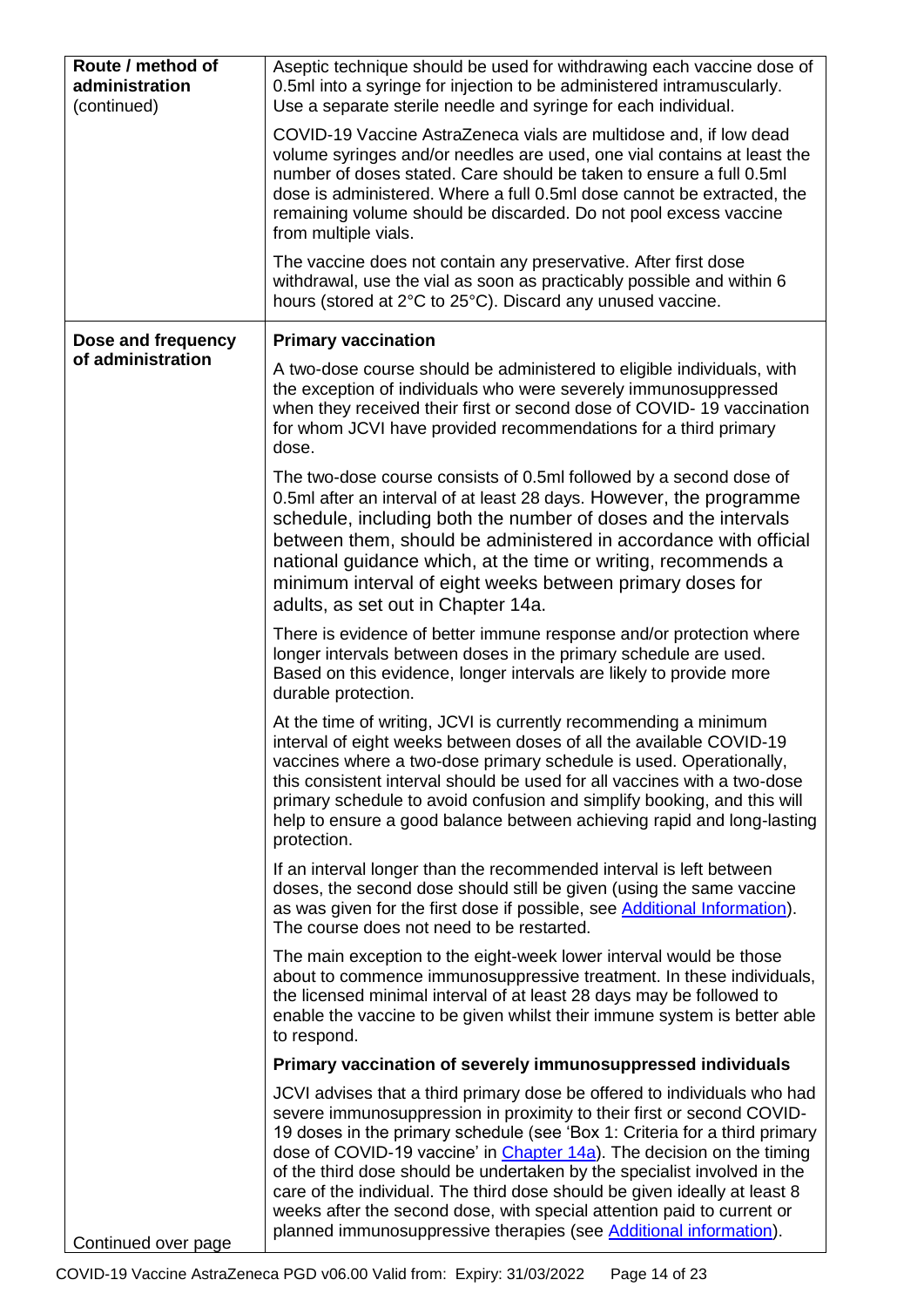| Route / method of<br>administration<br>(continued) | Aseptic technique should be used for withdrawing each vaccine dose of<br>0.5ml into a syringe for injection to be administered intramuscularly.<br>Use a separate sterile needle and syringe for each individual.                                                                                                                                                                                                                                                                                                                                                                                                        |
|----------------------------------------------------|--------------------------------------------------------------------------------------------------------------------------------------------------------------------------------------------------------------------------------------------------------------------------------------------------------------------------------------------------------------------------------------------------------------------------------------------------------------------------------------------------------------------------------------------------------------------------------------------------------------------------|
|                                                    | COVID-19 Vaccine AstraZeneca vials are multidose and, if low dead<br>volume syringes and/or needles are used, one vial contains at least the<br>number of doses stated. Care should be taken to ensure a full 0.5ml<br>dose is administered. Where a full 0.5ml dose cannot be extracted, the<br>remaining volume should be discarded. Do not pool excess vaccine<br>from multiple vials.                                                                                                                                                                                                                                |
|                                                    | The vaccine does not contain any preservative. After first dose<br>withdrawal, use the vial as soon as practicably possible and within 6<br>hours (stored at 2°C to 25°C). Discard any unused vaccine.                                                                                                                                                                                                                                                                                                                                                                                                                   |
| Dose and frequency<br>of administration            | <b>Primary vaccination</b>                                                                                                                                                                                                                                                                                                                                                                                                                                                                                                                                                                                               |
|                                                    | A two-dose course should be administered to eligible individuals, with<br>the exception of individuals who were severely immunosuppressed<br>when they received their first or second dose of COVID-19 vaccination<br>for whom JCVI have provided recommendations for a third primary<br>dose.                                                                                                                                                                                                                                                                                                                           |
|                                                    | The two-dose course consists of 0.5ml followed by a second dose of<br>0.5ml after an interval of at least 28 days. However, the programme<br>schedule, including both the number of doses and the intervals<br>between them, should be administered in accordance with official<br>national guidance which, at the time or writing, recommends a<br>minimum interval of eight weeks between primary doses for<br>adults, as set out in Chapter 14a.                                                                                                                                                                      |
|                                                    | There is evidence of better immune response and/or protection where<br>longer intervals between doses in the primary schedule are used.<br>Based on this evidence, longer intervals are likely to provide more<br>durable protection.                                                                                                                                                                                                                                                                                                                                                                                    |
|                                                    | At the time of writing, JCVI is currently recommending a minimum<br>interval of eight weeks between doses of all the available COVID-19<br>vaccines where a two-dose primary schedule is used. Operationally,<br>this consistent interval should be used for all vaccines with a two-dose<br>primary schedule to avoid confusion and simplify booking, and this will<br>help to ensure a good balance between achieving rapid and long-lasting<br>protection.                                                                                                                                                            |
|                                                    | If an interval longer than the recommended interval is left between<br>doses, the second dose should still be given (using the same vaccine<br>as was given for the first dose if possible, see Additional Information).<br>The course does not need to be restarted.                                                                                                                                                                                                                                                                                                                                                    |
|                                                    | The main exception to the eight-week lower interval would be those<br>about to commence immunosuppressive treatment. In these individuals,<br>the licensed minimal interval of at least 28 days may be followed to<br>enable the vaccine to be given whilst their immune system is better able<br>to respond.                                                                                                                                                                                                                                                                                                            |
|                                                    | Primary vaccination of severely immunosuppressed individuals                                                                                                                                                                                                                                                                                                                                                                                                                                                                                                                                                             |
| Continued over page                                | JCVI advises that a third primary dose be offered to individuals who had<br>severe immunosuppression in proximity to their first or second COVID-<br>19 doses in the primary schedule (see 'Box 1: Criteria for a third primary<br>dose of COVID-19 vaccine' in <i>Chapter 14a</i> ). The decision on the timing<br>of the third dose should be undertaken by the specialist involved in the<br>care of the individual. The third dose should be given ideally at least 8<br>weeks after the second dose, with special attention paid to current or<br>planned immunosuppressive therapies (see Additional information). |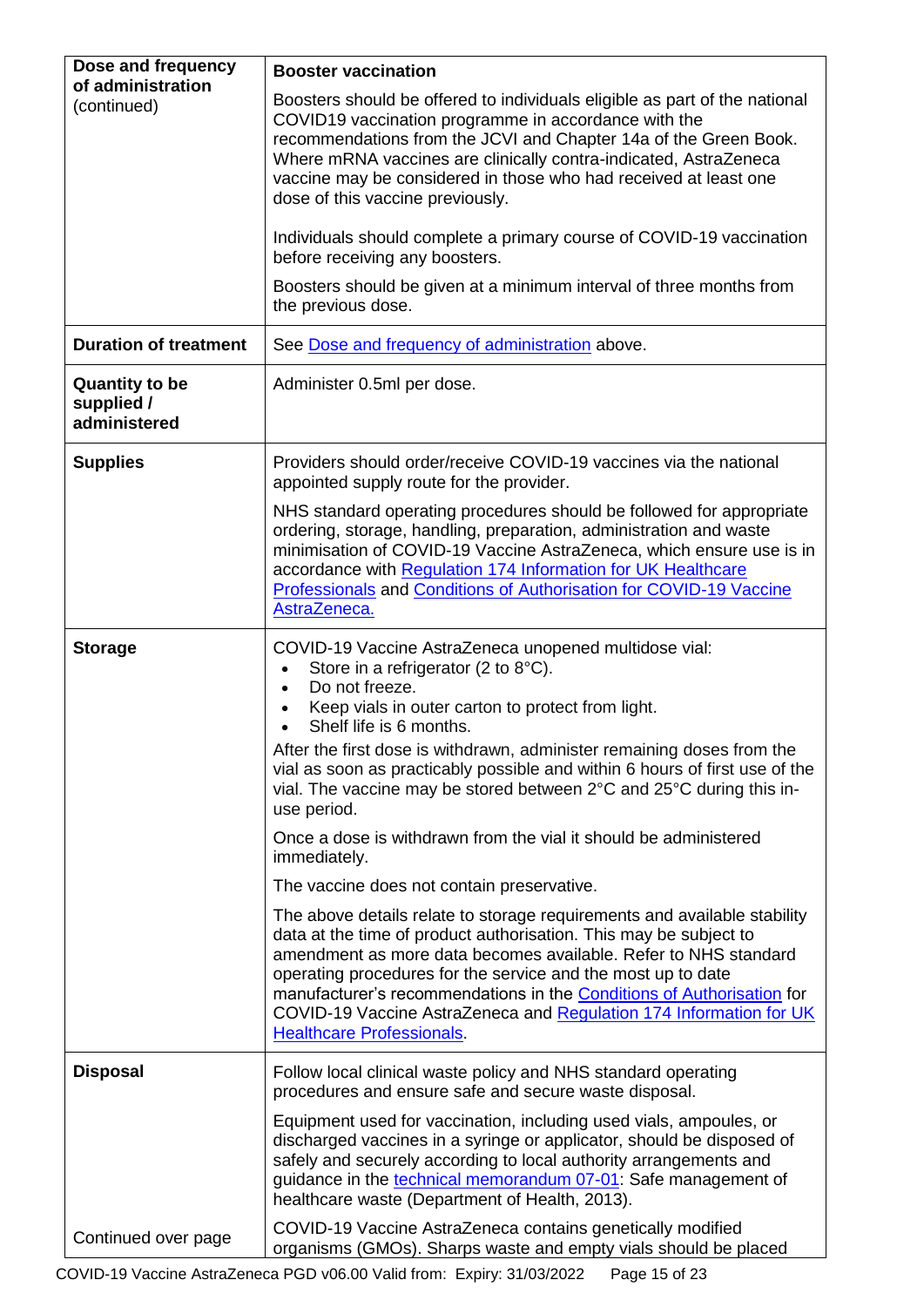<span id="page-14-0"></span>

| Dose and frequency                                  | <b>Booster vaccination</b>                                                                                                                                                                                                                                                                                                                                                                                                                                          |
|-----------------------------------------------------|---------------------------------------------------------------------------------------------------------------------------------------------------------------------------------------------------------------------------------------------------------------------------------------------------------------------------------------------------------------------------------------------------------------------------------------------------------------------|
| of administration<br>(continued)                    | Boosters should be offered to individuals eligible as part of the national<br>COVID19 vaccination programme in accordance with the<br>recommendations from the JCVI and Chapter 14a of the Green Book.<br>Where mRNA vaccines are clinically contra-indicated, AstraZeneca<br>vaccine may be considered in those who had received at least one                                                                                                                      |
|                                                     | dose of this vaccine previously.                                                                                                                                                                                                                                                                                                                                                                                                                                    |
|                                                     | Individuals should complete a primary course of COVID-19 vaccination<br>before receiving any boosters.                                                                                                                                                                                                                                                                                                                                                              |
|                                                     | Boosters should be given at a minimum interval of three months from<br>the previous dose.                                                                                                                                                                                                                                                                                                                                                                           |
| <b>Duration of treatment</b>                        | See Dose and frequency of administration above.                                                                                                                                                                                                                                                                                                                                                                                                                     |
| <b>Quantity to be</b><br>supplied /<br>administered | Administer 0.5ml per dose.                                                                                                                                                                                                                                                                                                                                                                                                                                          |
| <b>Supplies</b>                                     | Providers should order/receive COVID-19 vaccines via the national<br>appointed supply route for the provider.                                                                                                                                                                                                                                                                                                                                                       |
|                                                     | NHS standard operating procedures should be followed for appropriate<br>ordering, storage, handling, preparation, administration and waste<br>minimisation of COVID-19 Vaccine AstraZeneca, which ensure use is in<br>accordance with Regulation 174 Information for UK Healthcare<br>Professionals and Conditions of Authorisation for COVID-19 Vaccine<br>AstraZeneca.                                                                                            |
| <b>Storage</b>                                      | COVID-19 Vaccine AstraZeneca unopened multidose vial:<br>Store in a refrigerator (2 to 8°C).<br>Do not freeze.<br>$\bullet$<br>Keep vials in outer carton to protect from light.<br>Shelf life is 6 months.                                                                                                                                                                                                                                                         |
|                                                     | After the first dose is withdrawn, administer remaining doses from the<br>vial as soon as practicably possible and within 6 hours of first use of the<br>vial. The vaccine may be stored between 2°C and 25°C during this in-<br>use period.                                                                                                                                                                                                                        |
|                                                     | Once a dose is withdrawn from the vial it should be administered<br>immediately.                                                                                                                                                                                                                                                                                                                                                                                    |
|                                                     | The vaccine does not contain preservative.                                                                                                                                                                                                                                                                                                                                                                                                                          |
|                                                     | The above details relate to storage requirements and available stability<br>data at the time of product authorisation. This may be subject to<br>amendment as more data becomes available. Refer to NHS standard<br>operating procedures for the service and the most up to date<br>manufacturer's recommendations in the Conditions of Authorisation for<br>COVID-19 Vaccine AstraZeneca and Regulation 174 Information for UK<br><b>Healthcare Professionals.</b> |
| <b>Disposal</b>                                     | Follow local clinical waste policy and NHS standard operating<br>procedures and ensure safe and secure waste disposal.                                                                                                                                                                                                                                                                                                                                              |
|                                                     | Equipment used for vaccination, including used vials, ampoules, or<br>discharged vaccines in a syringe or applicator, should be disposed of<br>safely and securely according to local authority arrangements and<br>guidance in the technical memorandum 07-01: Safe management of<br>healthcare waste (Department of Health, 2013).                                                                                                                                |
| Continued over page                                 | COVID-19 Vaccine AstraZeneca contains genetically modified<br>organisms (GMOs). Sharps waste and empty vials should be placed                                                                                                                                                                                                                                                                                                                                       |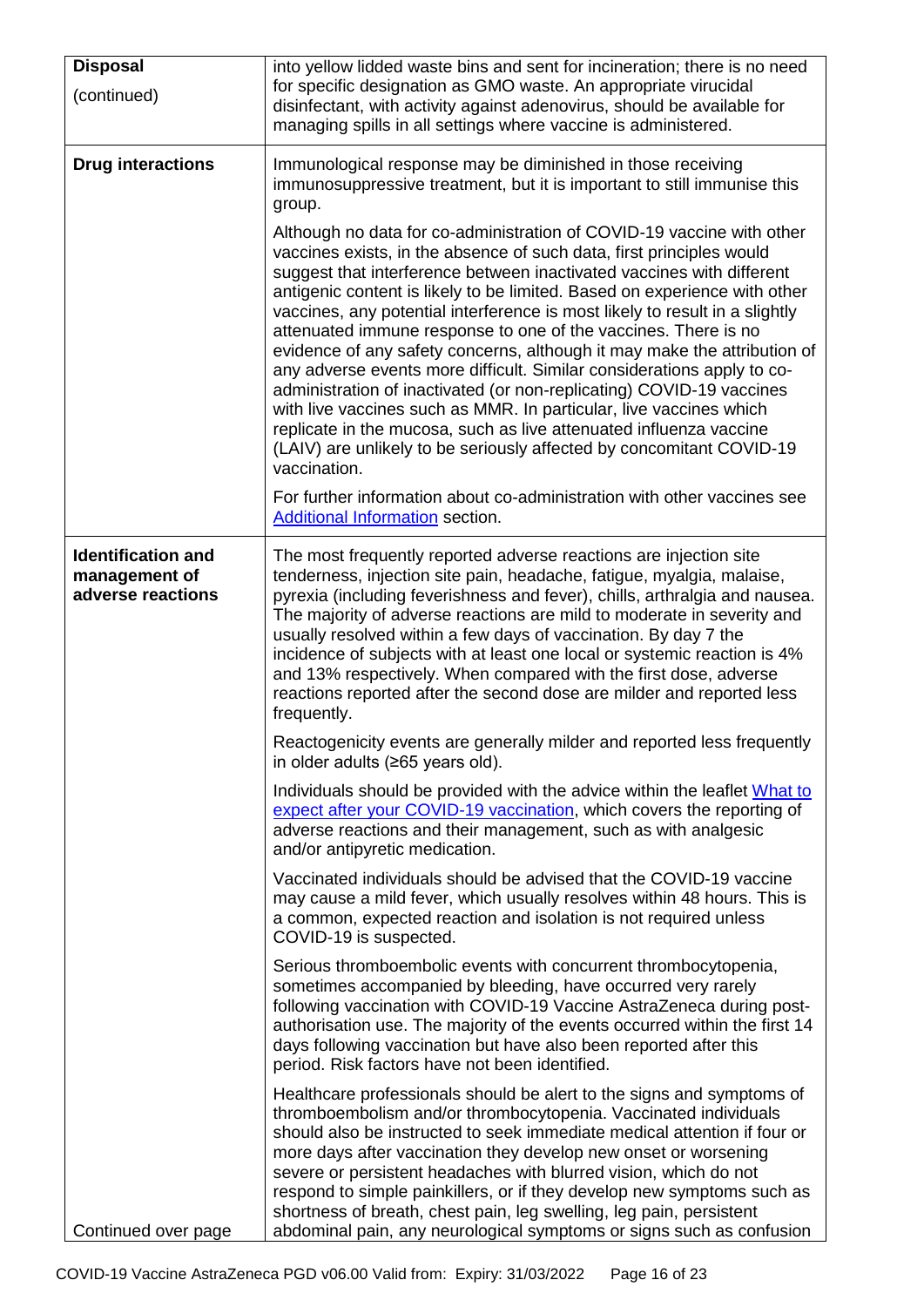| <b>Disposal</b>                                                 | into yellow lidded waste bins and sent for incineration; there is no need                                                                                                                                                                                                                                                                                                                                                                                                                                                                                                                                                                                                                                                                                                                                                                                                                                              |
|-----------------------------------------------------------------|------------------------------------------------------------------------------------------------------------------------------------------------------------------------------------------------------------------------------------------------------------------------------------------------------------------------------------------------------------------------------------------------------------------------------------------------------------------------------------------------------------------------------------------------------------------------------------------------------------------------------------------------------------------------------------------------------------------------------------------------------------------------------------------------------------------------------------------------------------------------------------------------------------------------|
| (continued)                                                     | for specific designation as GMO waste. An appropriate virucidal<br>disinfectant, with activity against adenovirus, should be available for<br>managing spills in all settings where vaccine is administered.                                                                                                                                                                                                                                                                                                                                                                                                                                                                                                                                                                                                                                                                                                           |
| <b>Drug interactions</b>                                        | Immunological response may be diminished in those receiving<br>immunosuppressive treatment, but it is important to still immunise this<br>group.                                                                                                                                                                                                                                                                                                                                                                                                                                                                                                                                                                                                                                                                                                                                                                       |
|                                                                 | Although no data for co-administration of COVID-19 vaccine with other<br>vaccines exists, in the absence of such data, first principles would<br>suggest that interference between inactivated vaccines with different<br>antigenic content is likely to be limited. Based on experience with other<br>vaccines, any potential interference is most likely to result in a slightly<br>attenuated immune response to one of the vaccines. There is no<br>evidence of any safety concerns, although it may make the attribution of<br>any adverse events more difficult. Similar considerations apply to co-<br>administration of inactivated (or non-replicating) COVID-19 vaccines<br>with live vaccines such as MMR. In particular, live vaccines which<br>replicate in the mucosa, such as live attenuated influenza vaccine<br>(LAIV) are unlikely to be seriously affected by concomitant COVID-19<br>vaccination. |
|                                                                 | For further information about co-administration with other vaccines see<br><b>Additional Information section.</b>                                                                                                                                                                                                                                                                                                                                                                                                                                                                                                                                                                                                                                                                                                                                                                                                      |
| <b>Identification and</b><br>management of<br>adverse reactions | The most frequently reported adverse reactions are injection site<br>tenderness, injection site pain, headache, fatigue, myalgia, malaise,<br>pyrexia (including feverishness and fever), chills, arthralgia and nausea.<br>The majority of adverse reactions are mild to moderate in severity and<br>usually resolved within a few days of vaccination. By day 7 the<br>incidence of subjects with at least one local or systemic reaction is 4%<br>and 13% respectively. When compared with the first dose, adverse<br>reactions reported after the second dose are milder and reported less<br>frequently.                                                                                                                                                                                                                                                                                                          |
|                                                                 | Reactogenicity events are generally milder and reported less frequently<br>in older adults (≥65 years old).                                                                                                                                                                                                                                                                                                                                                                                                                                                                                                                                                                                                                                                                                                                                                                                                            |
|                                                                 | Individuals should be provided with the advice within the leaflet What to<br>expect after your COVID-19 vaccination, which covers the reporting of<br>adverse reactions and their management, such as with analgesic<br>and/or antipyretic medication.                                                                                                                                                                                                                                                                                                                                                                                                                                                                                                                                                                                                                                                                 |
|                                                                 | Vaccinated individuals should be advised that the COVID-19 vaccine<br>may cause a mild fever, which usually resolves within 48 hours. This is<br>a common, expected reaction and isolation is not required unless<br>COVID-19 is suspected.                                                                                                                                                                                                                                                                                                                                                                                                                                                                                                                                                                                                                                                                            |
|                                                                 | Serious thromboembolic events with concurrent thrombocytopenia,<br>sometimes accompanied by bleeding, have occurred very rarely<br>following vaccination with COVID-19 Vaccine AstraZeneca during post-<br>authorisation use. The majority of the events occurred within the first 14<br>days following vaccination but have also been reported after this<br>period. Risk factors have not been identified.                                                                                                                                                                                                                                                                                                                                                                                                                                                                                                           |
| Continued over page                                             | Healthcare professionals should be alert to the signs and symptoms of<br>thromboembolism and/or thrombocytopenia. Vaccinated individuals<br>should also be instructed to seek immediate medical attention if four or<br>more days after vaccination they develop new onset or worsening<br>severe or persistent headaches with blurred vision, which do not<br>respond to simple painkillers, or if they develop new symptoms such as<br>shortness of breath, chest pain, leg swelling, leg pain, persistent<br>abdominal pain, any neurological symptoms or signs such as confusion                                                                                                                                                                                                                                                                                                                                   |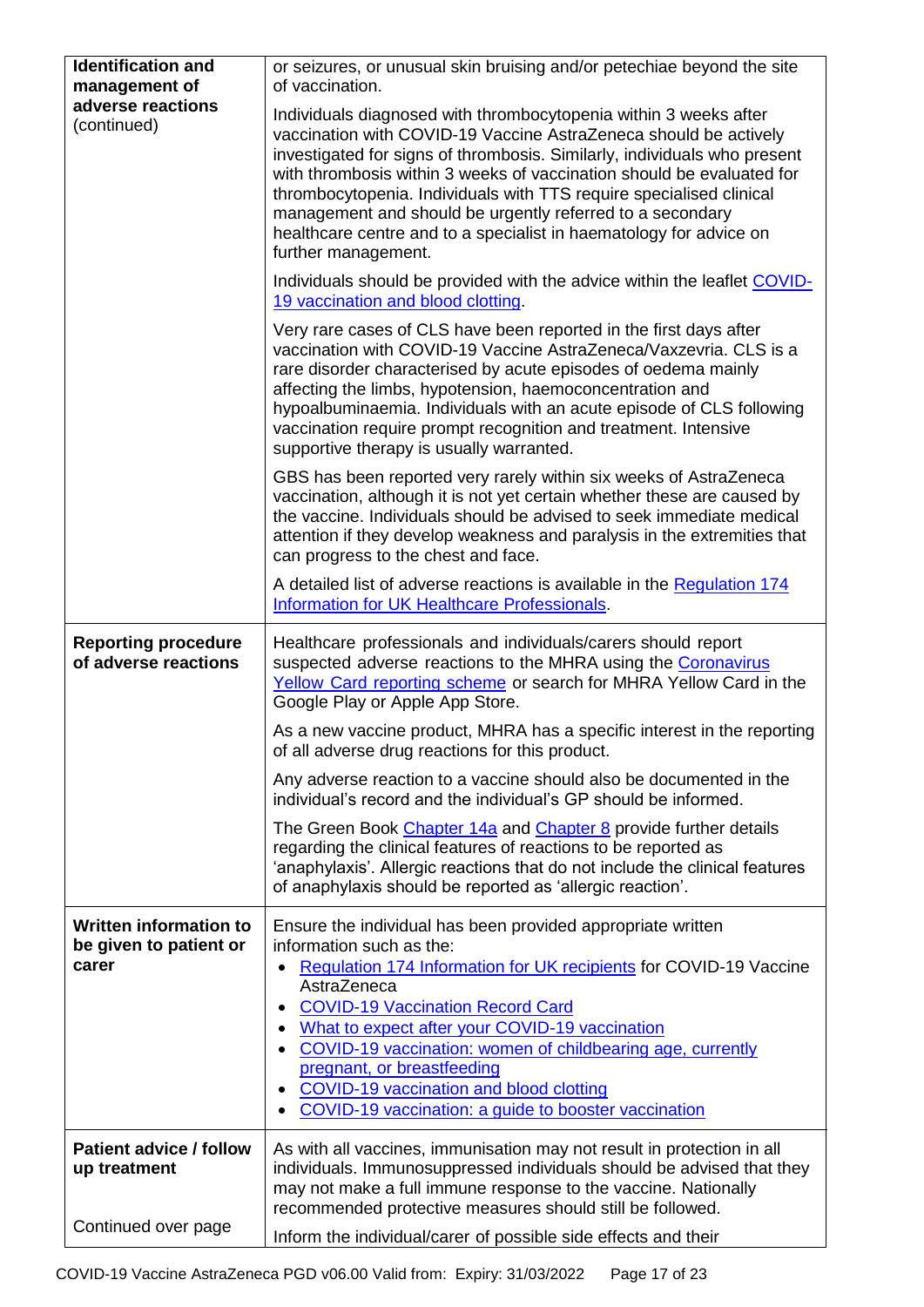| <b>Identification and</b><br>management of                | or seizures, or unusual skin bruising and/or petechiae beyond the site<br>of vaccination.                                                                                                                                                                                                                                                                                                                                                                                                                                  |
|-----------------------------------------------------------|----------------------------------------------------------------------------------------------------------------------------------------------------------------------------------------------------------------------------------------------------------------------------------------------------------------------------------------------------------------------------------------------------------------------------------------------------------------------------------------------------------------------------|
| adverse reactions<br>(continued)                          | Individuals diagnosed with thrombocytopenia within 3 weeks after<br>vaccination with COVID-19 Vaccine AstraZeneca should be actively<br>investigated for signs of thrombosis. Similarly, individuals who present<br>with thrombosis within 3 weeks of vaccination should be evaluated for<br>thrombocytopenia. Individuals with TTS require specialised clinical<br>management and should be urgently referred to a secondary<br>healthcare centre and to a specialist in haematology for advice on<br>further management. |
|                                                           | Individuals should be provided with the advice within the leaflet COVID-<br>19 vaccination and blood clotting.                                                                                                                                                                                                                                                                                                                                                                                                             |
|                                                           | Very rare cases of CLS have been reported in the first days after<br>vaccination with COVID-19 Vaccine AstraZeneca/Vaxzevria. CLS is a<br>rare disorder characterised by acute episodes of oedema mainly<br>affecting the limbs, hypotension, haemoconcentration and<br>hypoalbuminaemia. Individuals with an acute episode of CLS following<br>vaccination require prompt recognition and treatment. Intensive<br>supportive therapy is usually warranted.                                                                |
|                                                           | GBS has been reported very rarely within six weeks of AstraZeneca<br>vaccination, although it is not yet certain whether these are caused by<br>the vaccine. Individuals should be advised to seek immediate medical<br>attention if they develop weakness and paralysis in the extremities that<br>can progress to the chest and face.                                                                                                                                                                                    |
|                                                           | A detailed list of adverse reactions is available in the Regulation 174<br>Information for UK Healthcare Professionals.                                                                                                                                                                                                                                                                                                                                                                                                    |
| <b>Reporting procedure</b><br>of adverse reactions        | Healthcare professionals and individuals/carers should report<br>suspected adverse reactions to the MHRA using the Coronavirus<br>Yellow Card reporting scheme or search for MHRA Yellow Card in the<br>Google Play or Apple App Store.                                                                                                                                                                                                                                                                                    |
|                                                           | As a new vaccine product, MHRA has a specific interest in the reporting<br>of all adverse drug reactions for this product.                                                                                                                                                                                                                                                                                                                                                                                                 |
|                                                           | Any adverse reaction to a vaccine should also be documented in the<br>individual's record and the individual's GP should be informed.                                                                                                                                                                                                                                                                                                                                                                                      |
|                                                           | The Green Book Chapter 14a and Chapter 8 provide further details<br>regarding the clinical features of reactions to be reported as<br>'anaphylaxis'. Allergic reactions that do not include the clinical features<br>of anaphylaxis should be reported as 'allergic reaction'.                                                                                                                                                                                                                                             |
| Written information to<br>be given to patient or<br>carer | Ensure the individual has been provided appropriate written<br>information such as the:<br>Regulation 174 Information for UK recipients for COVID-19 Vaccine<br>AstraZeneca<br><b>COVID-19 Vaccination Record Card</b><br>What to expect after your COVID-19 vaccination<br>COVID-19 vaccination: women of childbearing age, currently<br>$\bullet$<br>pregnant, or breastfeeding<br>COVID-19 vaccination and blood clotting<br>COVID-19 vaccination: a guide to booster vaccination                                       |
| <b>Patient advice / follow</b><br>up treatment            | As with all vaccines, immunisation may not result in protection in all<br>individuals. Immunosuppressed individuals should be advised that they<br>may not make a full immune response to the vaccine. Nationally<br>recommended protective measures should still be followed.                                                                                                                                                                                                                                             |
| Continued over page                                       | Inform the individual/carer of possible side effects and their                                                                                                                                                                                                                                                                                                                                                                                                                                                             |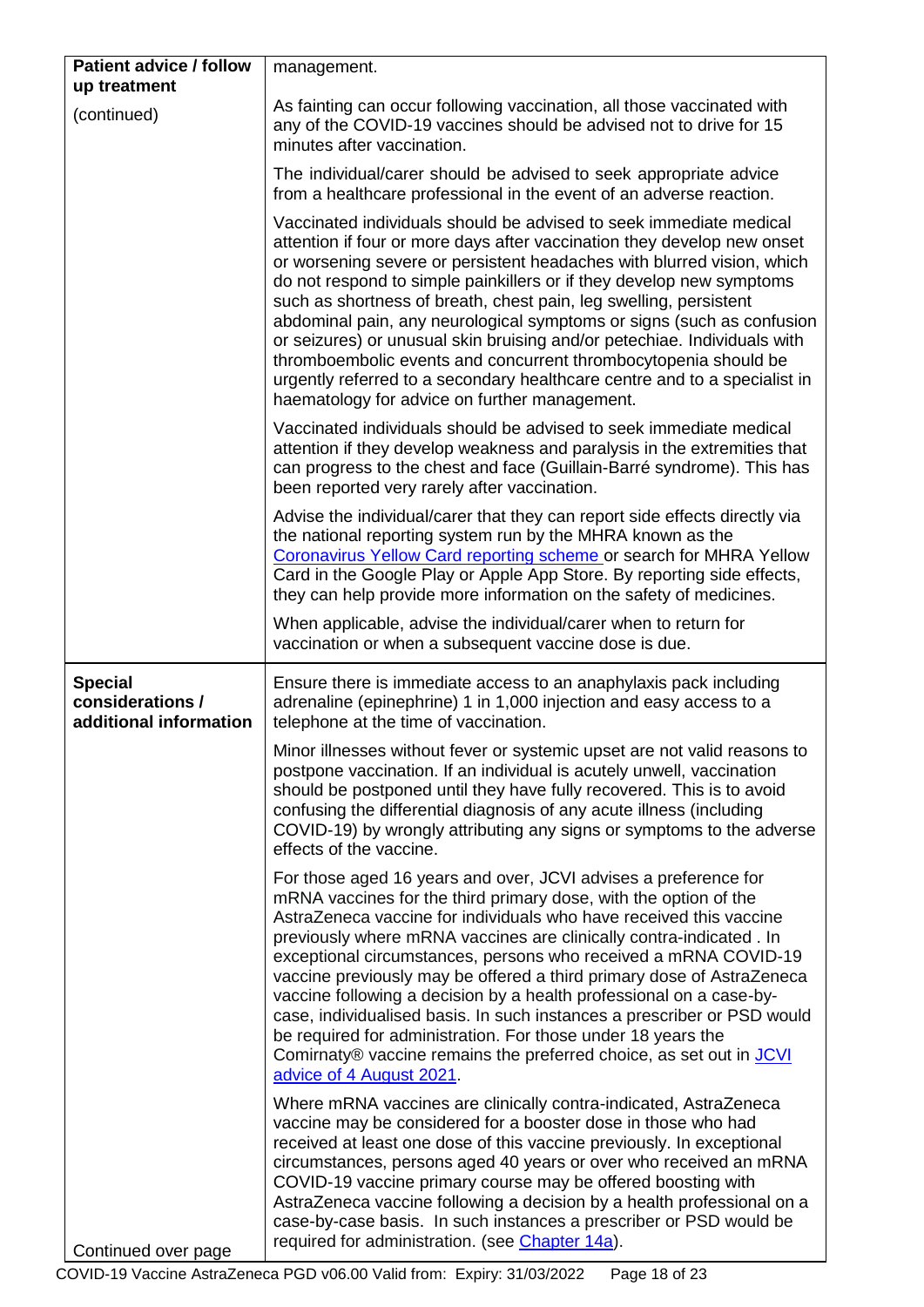<span id="page-17-0"></span>

| <b>Patient advice / follow</b>                               | management.                                                                                                                                                                                                                                                                                                                                                                                                                                                                                                                                                                                                                                                                                                                                       |
|--------------------------------------------------------------|---------------------------------------------------------------------------------------------------------------------------------------------------------------------------------------------------------------------------------------------------------------------------------------------------------------------------------------------------------------------------------------------------------------------------------------------------------------------------------------------------------------------------------------------------------------------------------------------------------------------------------------------------------------------------------------------------------------------------------------------------|
| up treatment                                                 |                                                                                                                                                                                                                                                                                                                                                                                                                                                                                                                                                                                                                                                                                                                                                   |
| (continued)                                                  | As fainting can occur following vaccination, all those vaccinated with<br>any of the COVID-19 vaccines should be advised not to drive for 15<br>minutes after vaccination.                                                                                                                                                                                                                                                                                                                                                                                                                                                                                                                                                                        |
|                                                              | The individual/carer should be advised to seek appropriate advice<br>from a healthcare professional in the event of an adverse reaction.                                                                                                                                                                                                                                                                                                                                                                                                                                                                                                                                                                                                          |
|                                                              | Vaccinated individuals should be advised to seek immediate medical<br>attention if four or more days after vaccination they develop new onset<br>or worsening severe or persistent headaches with blurred vision, which<br>do not respond to simple painkillers or if they develop new symptoms<br>such as shortness of breath, chest pain, leg swelling, persistent<br>abdominal pain, any neurological symptoms or signs (such as confusion<br>or seizures) or unusual skin bruising and/or petechiae. Individuals with<br>thromboembolic events and concurrent thrombocytopenia should be<br>urgently referred to a secondary healthcare centre and to a specialist in<br>haematology for advice on further management.                        |
|                                                              | Vaccinated individuals should be advised to seek immediate medical<br>attention if they develop weakness and paralysis in the extremities that<br>can progress to the chest and face (Guillain-Barré syndrome). This has<br>been reported very rarely after vaccination.                                                                                                                                                                                                                                                                                                                                                                                                                                                                          |
|                                                              | Advise the individual/carer that they can report side effects directly via<br>the national reporting system run by the MHRA known as the<br>Coronavirus Yellow Card reporting scheme or search for MHRA Yellow<br>Card in the Google Play or Apple App Store. By reporting side effects,<br>they can help provide more information on the safety of medicines.                                                                                                                                                                                                                                                                                                                                                                                    |
|                                                              | When applicable, advise the individual/carer when to return for<br>vaccination or when a subsequent vaccine dose is due.                                                                                                                                                                                                                                                                                                                                                                                                                                                                                                                                                                                                                          |
| <b>Special</b><br>considerations /<br>additional information | Ensure there is immediate access to an anaphylaxis pack including<br>adrenaline (epinephrine) 1 in 1,000 injection and easy access to a<br>telephone at the time of vaccination.                                                                                                                                                                                                                                                                                                                                                                                                                                                                                                                                                                  |
|                                                              | Minor illnesses without fever or systemic upset are not valid reasons to<br>postpone vaccination. If an individual is acutely unwell, vaccination<br>should be postponed until they have fully recovered. This is to avoid<br>confusing the differential diagnosis of any acute illness (including<br>COVID-19) by wrongly attributing any signs or symptoms to the adverse<br>effects of the vaccine.                                                                                                                                                                                                                                                                                                                                            |
|                                                              | For those aged 16 years and over, JCVI advises a preference for<br>mRNA vaccines for the third primary dose, with the option of the<br>AstraZeneca vaccine for individuals who have received this vaccine<br>previously where mRNA vaccines are clinically contra-indicated . In<br>exceptional circumstances, persons who received a mRNA COVID-19<br>vaccine previously may be offered a third primary dose of AstraZeneca<br>vaccine following a decision by a health professional on a case-by-<br>case, individualised basis. In such instances a prescriber or PSD would<br>be required for administration. For those under 18 years the<br>Comirnaty® vaccine remains the preferred choice, as set out in JCVI<br>advice of 4 August 2021. |
| Continued over page                                          | Where mRNA vaccines are clinically contra-indicated, AstraZeneca<br>vaccine may be considered for a booster dose in those who had<br>received at least one dose of this vaccine previously. In exceptional<br>circumstances, persons aged 40 years or over who received an mRNA<br>COVID-19 vaccine primary course may be offered boosting with<br>AstraZeneca vaccine following a decision by a health professional on a<br>case-by-case basis. In such instances a prescriber or PSD would be<br>required for administration. (see Chapter 14a).                                                                                                                                                                                                |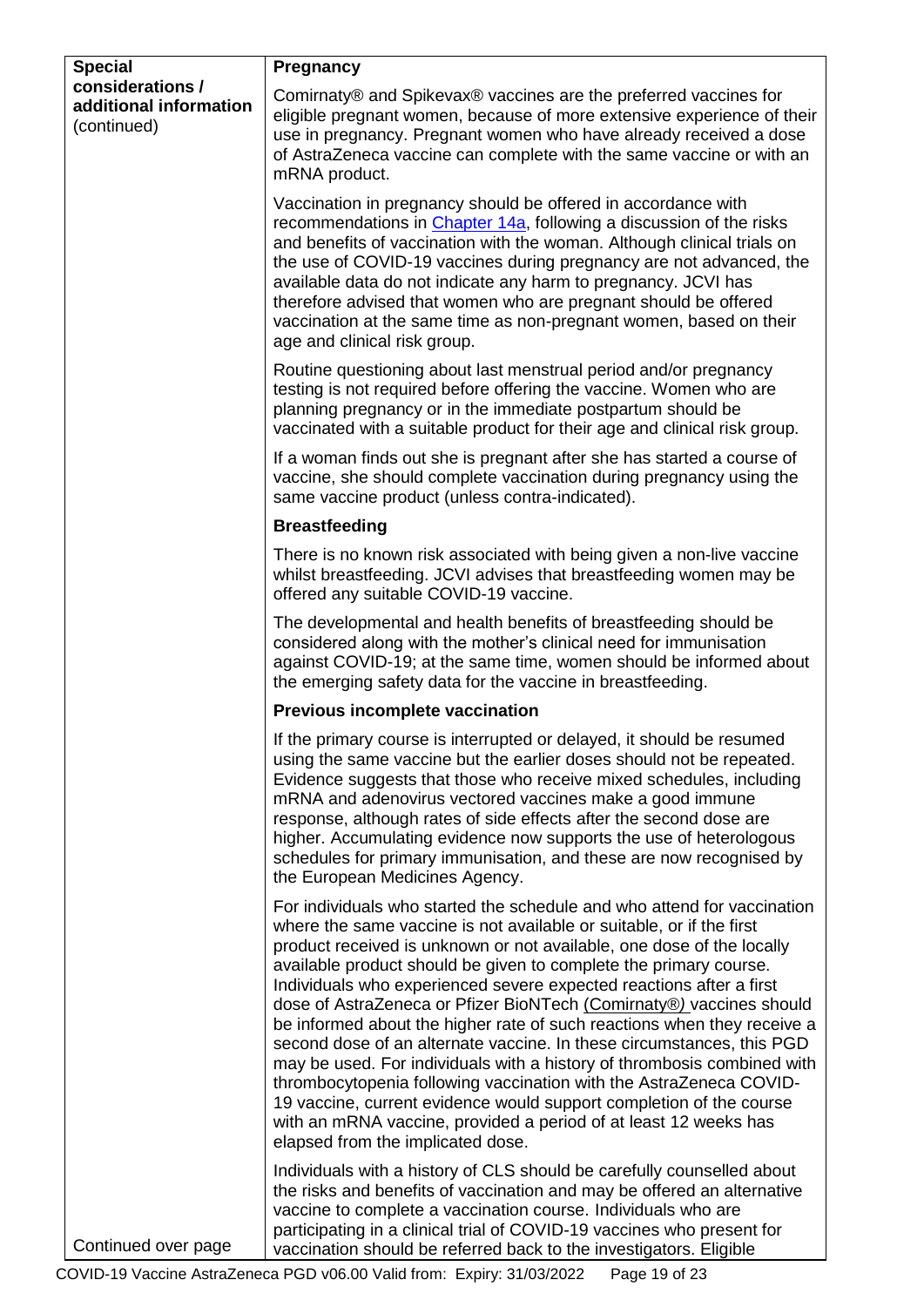<span id="page-18-0"></span>

| <b>Special</b><br>considerations /<br>additional information<br>(continued) | Pregnancy                                                                                                                                                                                                                                                                                                                                                                                                                                                                                                                                                                                                                                                                                                                                                                                                                                                                                                                        |
|-----------------------------------------------------------------------------|----------------------------------------------------------------------------------------------------------------------------------------------------------------------------------------------------------------------------------------------------------------------------------------------------------------------------------------------------------------------------------------------------------------------------------------------------------------------------------------------------------------------------------------------------------------------------------------------------------------------------------------------------------------------------------------------------------------------------------------------------------------------------------------------------------------------------------------------------------------------------------------------------------------------------------|
|                                                                             | Comirnaty® and Spikevax® vaccines are the preferred vaccines for<br>eligible pregnant women, because of more extensive experience of their<br>use in pregnancy. Pregnant women who have already received a dose<br>of AstraZeneca vaccine can complete with the same vaccine or with an<br>mRNA product.                                                                                                                                                                                                                                                                                                                                                                                                                                                                                                                                                                                                                         |
|                                                                             | Vaccination in pregnancy should be offered in accordance with<br>recommendations in Chapter 14a, following a discussion of the risks<br>and benefits of vaccination with the woman. Although clinical trials on<br>the use of COVID-19 vaccines during pregnancy are not advanced, the<br>available data do not indicate any harm to pregnancy. JCVI has<br>therefore advised that women who are pregnant should be offered<br>vaccination at the same time as non-pregnant women, based on their<br>age and clinical risk group.                                                                                                                                                                                                                                                                                                                                                                                                |
|                                                                             | Routine questioning about last menstrual period and/or pregnancy<br>testing is not required before offering the vaccine. Women who are<br>planning pregnancy or in the immediate postpartum should be<br>vaccinated with a suitable product for their age and clinical risk group.                                                                                                                                                                                                                                                                                                                                                                                                                                                                                                                                                                                                                                               |
|                                                                             | If a woman finds out she is pregnant after she has started a course of<br>vaccine, she should complete vaccination during pregnancy using the<br>same vaccine product (unless contra-indicated).                                                                                                                                                                                                                                                                                                                                                                                                                                                                                                                                                                                                                                                                                                                                 |
|                                                                             | <b>Breastfeeding</b>                                                                                                                                                                                                                                                                                                                                                                                                                                                                                                                                                                                                                                                                                                                                                                                                                                                                                                             |
|                                                                             | There is no known risk associated with being given a non-live vaccine<br>whilst breastfeeding. JCVI advises that breastfeeding women may be<br>offered any suitable COVID-19 vaccine.                                                                                                                                                                                                                                                                                                                                                                                                                                                                                                                                                                                                                                                                                                                                            |
|                                                                             | The developmental and health benefits of breastfeeding should be<br>considered along with the mother's clinical need for immunisation<br>against COVID-19; at the same time, women should be informed about<br>the emerging safety data for the vaccine in breastfeeding.                                                                                                                                                                                                                                                                                                                                                                                                                                                                                                                                                                                                                                                        |
|                                                                             | <b>Previous incomplete vaccination</b>                                                                                                                                                                                                                                                                                                                                                                                                                                                                                                                                                                                                                                                                                                                                                                                                                                                                                           |
| Continued over page                                                         | If the primary course is interrupted or delayed, it should be resumed<br>using the same vaccine but the earlier doses should not be repeated.<br>Evidence suggests that those who receive mixed schedules, including<br>mRNA and adenovirus vectored vaccines make a good immune<br>response, although rates of side effects after the second dose are<br>higher. Accumulating evidence now supports the use of heterologous<br>schedules for primary immunisation, and these are now recognised by<br>the European Medicines Agency.                                                                                                                                                                                                                                                                                                                                                                                            |
|                                                                             | For individuals who started the schedule and who attend for vaccination<br>where the same vaccine is not available or suitable, or if the first<br>product received is unknown or not available, one dose of the locally<br>available product should be given to complete the primary course.<br>Individuals who experienced severe expected reactions after a first<br>dose of AstraZeneca or Pfizer BioNTech (Comirnaty®) vaccines should<br>be informed about the higher rate of such reactions when they receive a<br>second dose of an alternate vaccine. In these circumstances, this PGD<br>may be used. For individuals with a history of thrombosis combined with<br>thrombocytopenia following vaccination with the AstraZeneca COVID-<br>19 vaccine, current evidence would support completion of the course<br>with an mRNA vaccine, provided a period of at least 12 weeks has<br>elapsed from the implicated dose. |
|                                                                             | Individuals with a history of CLS should be carefully counselled about<br>the risks and benefits of vaccination and may be offered an alternative<br>vaccine to complete a vaccination course. Individuals who are<br>participating in a clinical trial of COVID-19 vaccines who present for<br>vaccination should be referred back to the investigators. Eligible                                                                                                                                                                                                                                                                                                                                                                                                                                                                                                                                                               |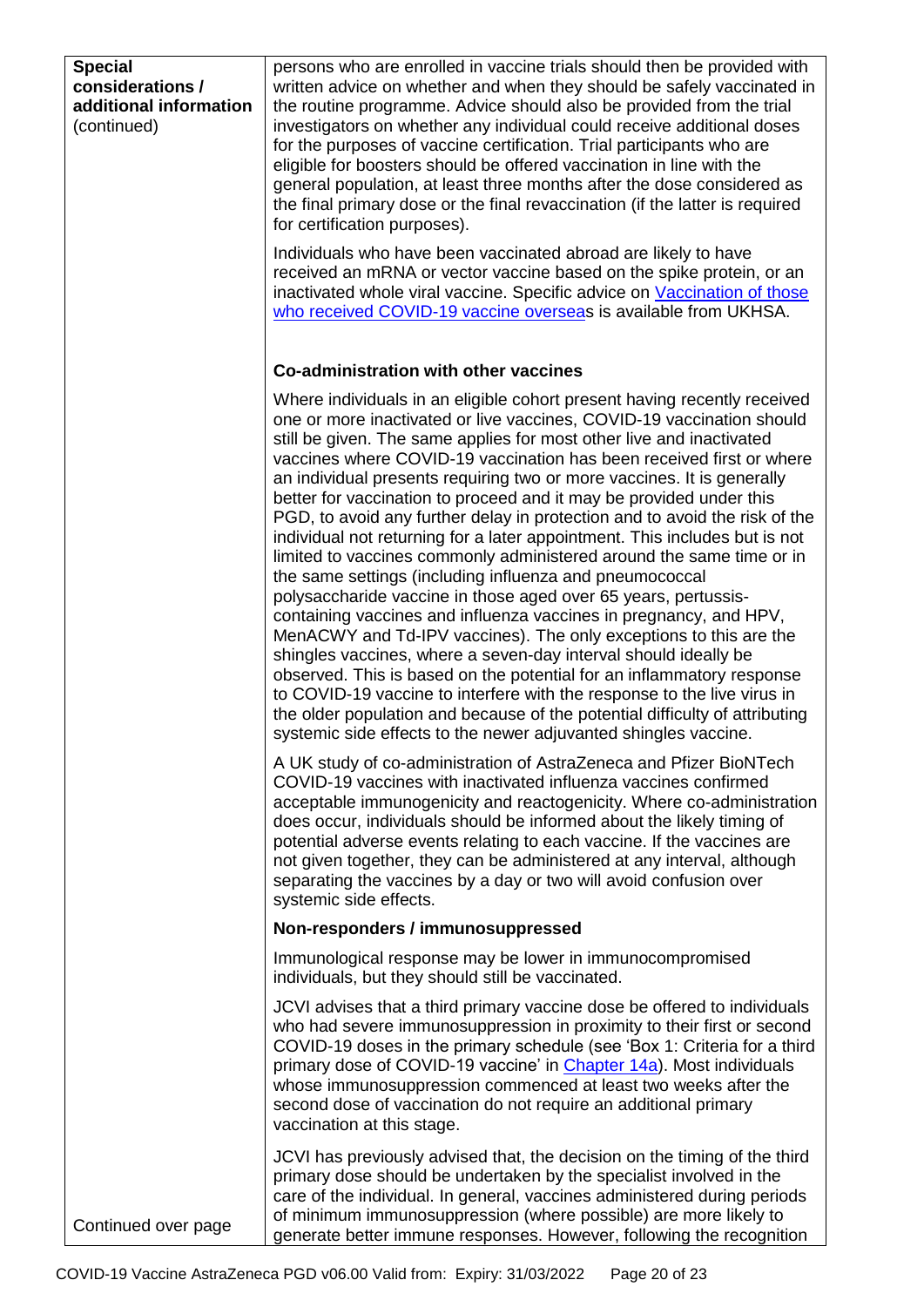<span id="page-19-0"></span>

| <b>Special</b><br>considerations /<br>additional information<br>(continued) | persons who are enrolled in vaccine trials should then be provided with<br>written advice on whether and when they should be safely vaccinated in<br>the routine programme. Advice should also be provided from the trial<br>investigators on whether any individual could receive additional doses<br>for the purposes of vaccine certification. Trial participants who are<br>eligible for boosters should be offered vaccination in line with the<br>general population, at least three months after the dose considered as<br>the final primary dose or the final revaccination (if the latter is required<br>for certification purposes).                                                                                                                                                                                                                                                                                                                                                                                                                                                                                                                                                                                                                                                                                         |
|-----------------------------------------------------------------------------|----------------------------------------------------------------------------------------------------------------------------------------------------------------------------------------------------------------------------------------------------------------------------------------------------------------------------------------------------------------------------------------------------------------------------------------------------------------------------------------------------------------------------------------------------------------------------------------------------------------------------------------------------------------------------------------------------------------------------------------------------------------------------------------------------------------------------------------------------------------------------------------------------------------------------------------------------------------------------------------------------------------------------------------------------------------------------------------------------------------------------------------------------------------------------------------------------------------------------------------------------------------------------------------------------------------------------------------|
|                                                                             | Individuals who have been vaccinated abroad are likely to have<br>received an mRNA or vector vaccine based on the spike protein, or an<br>inactivated whole viral vaccine. Specific advice on Vaccination of those<br>who received COVID-19 vaccine overseas is available from UKHSA.                                                                                                                                                                                                                                                                                                                                                                                                                                                                                                                                                                                                                                                                                                                                                                                                                                                                                                                                                                                                                                                  |
|                                                                             | Co-administration with other vaccines                                                                                                                                                                                                                                                                                                                                                                                                                                                                                                                                                                                                                                                                                                                                                                                                                                                                                                                                                                                                                                                                                                                                                                                                                                                                                                  |
|                                                                             | Where individuals in an eligible cohort present having recently received<br>one or more inactivated or live vaccines, COVID-19 vaccination should<br>still be given. The same applies for most other live and inactivated<br>vaccines where COVID-19 vaccination has been received first or where<br>an individual presents requiring two or more vaccines. It is generally<br>better for vaccination to proceed and it may be provided under this<br>PGD, to avoid any further delay in protection and to avoid the risk of the<br>individual not returning for a later appointment. This includes but is not<br>limited to vaccines commonly administered around the same time or in<br>the same settings (including influenza and pneumococcal<br>polysaccharide vaccine in those aged over 65 years, pertussis-<br>containing vaccines and influenza vaccines in pregnancy, and HPV,<br>MenACWY and Td-IPV vaccines). The only exceptions to this are the<br>shingles vaccines, where a seven-day interval should ideally be<br>observed. This is based on the potential for an inflammatory response<br>to COVID-19 vaccine to interfere with the response to the live virus in<br>the older population and because of the potential difficulty of attributing<br>systemic side effects to the newer adjuvanted shingles vaccine. |
|                                                                             | A UK study of co-administration of AstraZeneca and Pfizer BioNTech<br>COVID-19 vaccines with inactivated influenza vaccines confirmed<br>acceptable immunogenicity and reactogenicity. Where co-administration<br>does occur, individuals should be informed about the likely timing of<br>potential adverse events relating to each vaccine. If the vaccines are<br>not given together, they can be administered at any interval, although<br>separating the vaccines by a day or two will avoid confusion over<br>systemic side effects.                                                                                                                                                                                                                                                                                                                                                                                                                                                                                                                                                                                                                                                                                                                                                                                             |
|                                                                             | Non-responders / immunosuppressed                                                                                                                                                                                                                                                                                                                                                                                                                                                                                                                                                                                                                                                                                                                                                                                                                                                                                                                                                                                                                                                                                                                                                                                                                                                                                                      |
|                                                                             | Immunological response may be lower in immunocompromised<br>individuals, but they should still be vaccinated.                                                                                                                                                                                                                                                                                                                                                                                                                                                                                                                                                                                                                                                                                                                                                                                                                                                                                                                                                                                                                                                                                                                                                                                                                          |
|                                                                             | JCVI advises that a third primary vaccine dose be offered to individuals<br>who had severe immunosuppression in proximity to their first or second<br>COVID-19 doses in the primary schedule (see 'Box 1: Criteria for a third<br>primary dose of COVID-19 vaccine' in Chapter 14a). Most individuals<br>whose immunosuppression commenced at least two weeks after the<br>second dose of vaccination do not require an additional primary<br>vaccination at this stage.                                                                                                                                                                                                                                                                                                                                                                                                                                                                                                                                                                                                                                                                                                                                                                                                                                                               |
| Continued over page                                                         | JCVI has previously advised that, the decision on the timing of the third<br>primary dose should be undertaken by the specialist involved in the<br>care of the individual. In general, vaccines administered during periods<br>of minimum immunosuppression (where possible) are more likely to<br>generate better immune responses. However, following the recognition                                                                                                                                                                                                                                                                                                                                                                                                                                                                                                                                                                                                                                                                                                                                                                                                                                                                                                                                                               |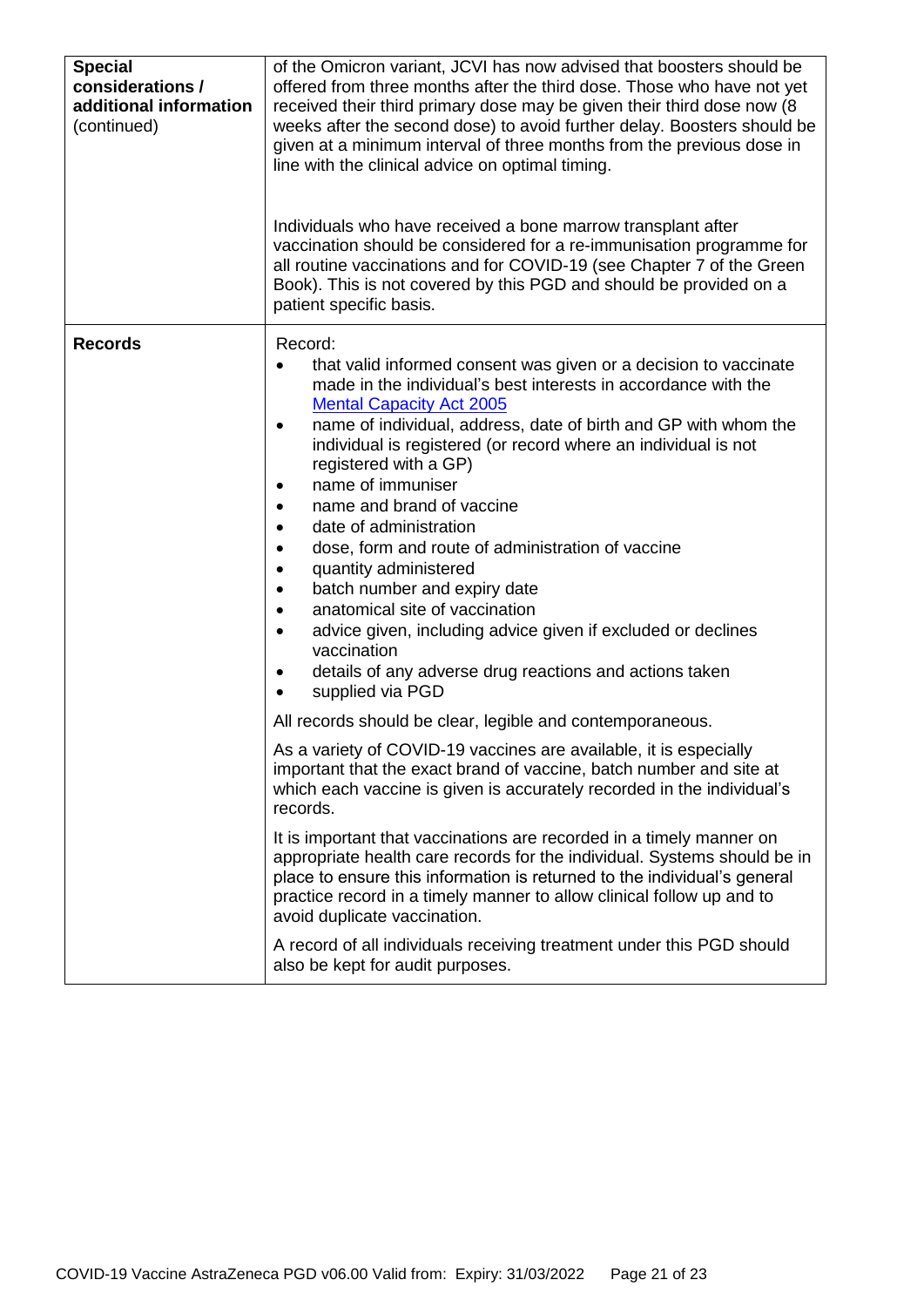| <b>Special</b><br>considerations /<br>additional information<br>(continued) | of the Omicron variant, JCVI has now advised that boosters should be<br>offered from three months after the third dose. Those who have not yet<br>received their third primary dose may be given their third dose now (8<br>weeks after the second dose) to avoid further delay. Boosters should be<br>given at a minimum interval of three months from the previous dose in<br>line with the clinical advice on optimal timing.<br>Individuals who have received a bone marrow transplant after<br>vaccination should be considered for a re-immunisation programme for<br>all routine vaccinations and for COVID-19 (see Chapter 7 of the Green<br>Book). This is not covered by this PGD and should be provided on a<br>patient specific basis.                                                                                               |
|-----------------------------------------------------------------------------|--------------------------------------------------------------------------------------------------------------------------------------------------------------------------------------------------------------------------------------------------------------------------------------------------------------------------------------------------------------------------------------------------------------------------------------------------------------------------------------------------------------------------------------------------------------------------------------------------------------------------------------------------------------------------------------------------------------------------------------------------------------------------------------------------------------------------------------------------|
| <b>Records</b>                                                              | Record:<br>that valid informed consent was given or a decision to vaccinate<br>$\bullet$<br>made in the individual's best interests in accordance with the<br><b>Mental Capacity Act 2005</b><br>name of individual, address, date of birth and GP with whom the<br>individual is registered (or record where an individual is not<br>registered with a GP)<br>name of immuniser<br>$\bullet$<br>name and brand of vaccine<br>$\bullet$<br>date of administration<br>$\bullet$<br>dose, form and route of administration of vaccine<br>$\bullet$<br>quantity administered<br>$\bullet$<br>batch number and expiry date<br>$\bullet$<br>anatomical site of vaccination<br>$\bullet$<br>advice given, including advice given if excluded or declines<br>vaccination<br>details of any adverse drug reactions and actions taken<br>supplied via PGD |
|                                                                             | All records should be clear, legible and contemporaneous.<br>As a variety of COVID-19 vaccines are available, it is especially<br>important that the exact brand of vaccine, batch number and site at<br>which each vaccine is given is accurately recorded in the individual's                                                                                                                                                                                                                                                                                                                                                                                                                                                                                                                                                                  |
|                                                                             | records.<br>It is important that vaccinations are recorded in a timely manner on<br>appropriate health care records for the individual. Systems should be in<br>place to ensure this information is returned to the individual's general<br>practice record in a timely manner to allow clinical follow up and to<br>avoid duplicate vaccination.                                                                                                                                                                                                                                                                                                                                                                                                                                                                                                |
|                                                                             | A record of all individuals receiving treatment under this PGD should<br>also be kept for audit purposes.                                                                                                                                                                                                                                                                                                                                                                                                                                                                                                                                                                                                                                                                                                                                        |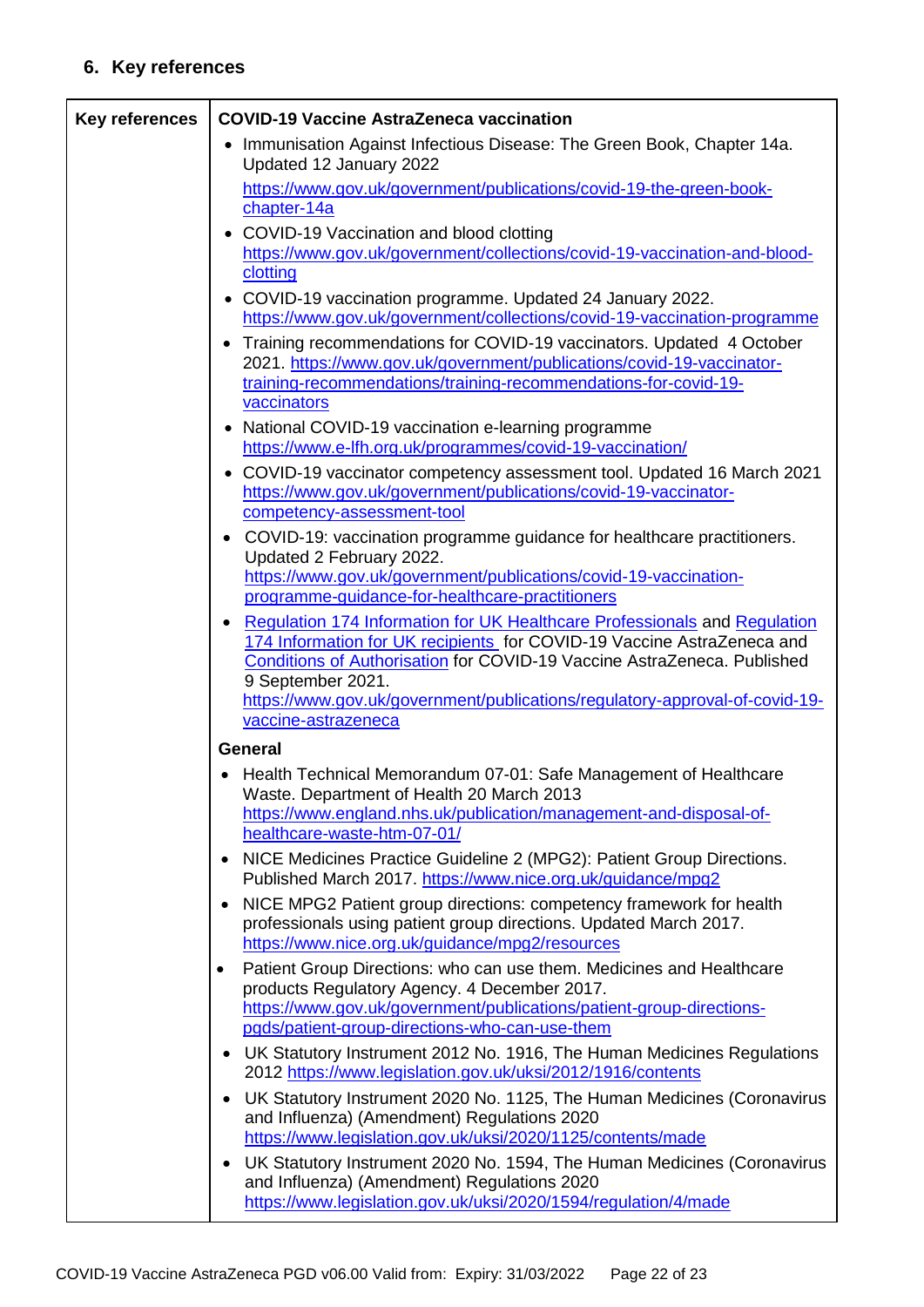## **6. Key references**

| <b>Key references</b> | <b>COVID-19 Vaccine AstraZeneca vaccination</b>                                                                                                                                                                                                            |
|-----------------------|------------------------------------------------------------------------------------------------------------------------------------------------------------------------------------------------------------------------------------------------------------|
|                       | Immunisation Against Infectious Disease: The Green Book, Chapter 14a.<br>$\bullet$<br>Updated 12 January 2022                                                                                                                                              |
|                       | https://www.gov.uk/government/publications/covid-19-the-green-book-<br>chapter-14a                                                                                                                                                                         |
|                       | COVID-19 Vaccination and blood clotting<br>$\bullet$<br>https://www.gov.uk/government/collections/covid-19-vaccination-and-blood-<br>clotting                                                                                                              |
|                       | • COVID-19 vaccination programme. Updated 24 January 2022.<br>https://www.gov.uk/government/collections/covid-19-vaccination-programme                                                                                                                     |
|                       | Training recommendations for COVID-19 vaccinators. Updated 4 October<br>$\bullet$<br>2021. https://www.gov.uk/government/publications/covid-19-vaccinator-<br>training-recommendations/training-recommendations-for-covid-19-<br>vaccinators               |
|                       | National COVID-19 vaccination e-learning programme<br>$\bullet$<br>https://www.e-lfh.org.uk/programmes/covid-19-vaccination/                                                                                                                               |
|                       | • COVID-19 vaccinator competency assessment tool. Updated 16 March 2021<br>https://www.gov.uk/government/publications/covid-19-vaccinator-<br>competency-assessment-tool                                                                                   |
|                       | COVID-19: vaccination programme guidance for healthcare practitioners.<br>Updated 2 February 2022.<br>https://www.gov.uk/government/publications/covid-19-vaccination-                                                                                     |
|                       | programme-guidance-for-healthcare-practitioners                                                                                                                                                                                                            |
|                       | Regulation 174 Information for UK Healthcare Professionals and Regulation<br>174 Information for UK recipients for COVID-19 Vaccine AstraZeneca and<br><b>Conditions of Authorisation for COVID-19 Vaccine AstraZeneca. Published</b><br>9 September 2021. |
|                       | https://www.gov.uk/government/publications/regulatory-approval-of-covid-19-<br>vaccine-astrazeneca                                                                                                                                                         |
|                       | <b>General</b>                                                                                                                                                                                                                                             |
|                       | Health Technical Memorandum 07-01: Safe Management of Healthcare<br>Waste. Department of Health 20 March 2013                                                                                                                                              |
|                       | https://www.england.nhs.uk/publication/management-and-disposal-of-<br>healthcare-waste-htm-07-01/                                                                                                                                                          |
|                       | NICE Medicines Practice Guideline 2 (MPG2): Patient Group Directions.<br>Published March 2017. https://www.nice.org.uk/guidance/mpg2                                                                                                                       |
|                       | NICE MPG2 Patient group directions: competency framework for health<br>$\bullet$<br>professionals using patient group directions. Updated March 2017.<br>https://www.nice.org.uk/guidance/mpg2/resources                                                   |
|                       | Patient Group Directions: who can use them. Medicines and Healthcare<br>$\bullet$<br>products Regulatory Agency. 4 December 2017.<br>https://www.gov.uk/government/publications/patient-group-directions-                                                  |
|                       | pgds/patient-group-directions-who-can-use-them<br>UK Statutory Instrument 2012 No. 1916, The Human Medicines Regulations<br>٠                                                                                                                              |
|                       | 2012 https://www.legislation.gov.uk/uksi/2012/1916/contents                                                                                                                                                                                                |
|                       | UK Statutory Instrument 2020 No. 1125, The Human Medicines (Coronavirus<br>٠<br>and Influenza) (Amendment) Regulations 2020<br>https://www.legislation.gov.uk/uksi/2020/1125/contents/made                                                                 |
|                       | UK Statutory Instrument 2020 No. 1594, The Human Medicines (Coronavirus<br>٠<br>and Influenza) (Amendment) Regulations 2020<br>https://www.legislation.gov.uk/uksi/2020/1594/regulation/4/made                                                             |